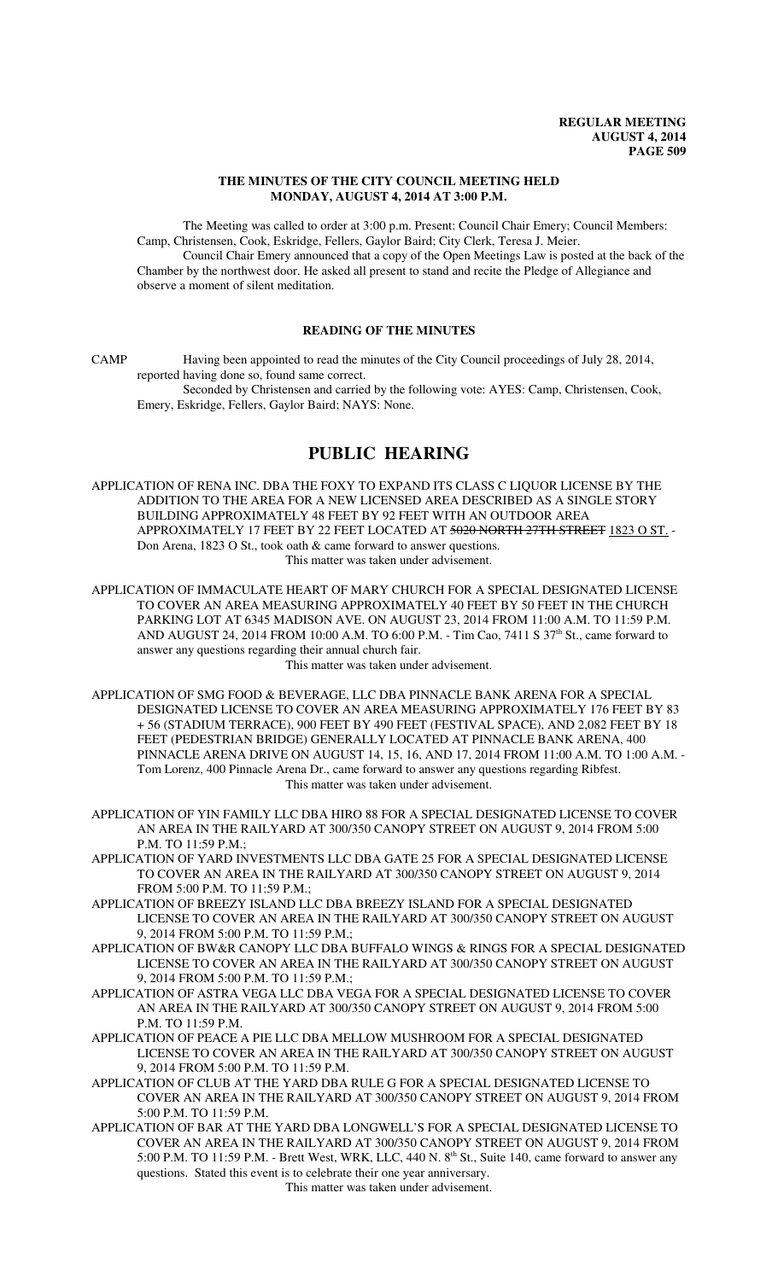## **THE MINUTES OF THE CITY COUNCIL MEETING HELD MONDAY, AUGUST 4, 2014 AT 3:00 P.M.**

The Meeting was called to order at 3:00 p.m. Present: Council Chair Emery; Council Members: Camp, Christensen, Cook, Eskridge, Fellers, Gaylor Baird; City Clerk, Teresa J. Meier. Council Chair Emery announced that a copy of the Open Meetings Law is posted at the back of the

Chamber by the northwest door. He asked all present to stand and recite the Pledge of Allegiance and observe a moment of silent meditation.

## **READING OF THE MINUTES**

CAMP Having been appointed to read the minutes of the City Council proceedings of July 28, 2014, reported having done so, found same correct.

Seconded by Christensen and carried by the following vote: AYES: Camp, Christensen, Cook, Emery, Eskridge, Fellers, Gaylor Baird; NAYS: None.

# **PUBLIC HEARING**

APPLICATION OF RENA INC. DBA THE FOXY TO EXPAND ITS CLASS C LIQUOR LICENSE BY THE ADDITION TO THE AREA FOR A NEW LICENSED AREA DESCRIBED AS A SINGLE STORY BUILDING APPROXIMATELY 48 FEET BY 92 FEET WITH AN OUTDOOR AREA APPROXIMATELY 17 FEET BY 22 FEET LOCATED AT 5020 NORTH 27TH STREET 1823 O ST. -Don Arena, 1823 O St., took oath & came forward to answer questions. This matter was taken under advisement.

APPLICATION OF IMMACULATE HEART OF MARY CHURCH FOR A SPECIAL DESIGNATED LICENSE TO COVER AN AREA MEASURING APPROXIMATELY 40 FEET BY 50 FEET IN THE CHURCH PARKING LOT AT 6345 MADISON AVE. ON AUGUST 23, 2014 FROM 11:00 A.M. TO 11:59 P.M. AND AUGUST 24, 2014 FROM 10:00 A.M. TO 6:00 P.M. - Tim Cao, 7411 S 37<sup>th</sup> St., came forward to answer any questions regarding their annual church fair.

This matter was taken under advisement.

APPLICATION OF SMG FOOD & BEVERAGE, LLC DBA PINNACLE BANK ARENA FOR A SPECIAL DESIGNATED LICENSE TO COVER AN AREA MEASURING APPROXIMATELY 176 FEET BY 83 + 56 (STADIUM TERRACE), 900 FEET BY 490 FEET (FESTIVAL SPACE), AND 2,082 FEET BY 18 FEET (PEDESTRIAN BRIDGE) GENERALLY LOCATED AT PINNACLE BANK ARENA, 400 PINNACLE ARENA DRIVE ON AUGUST 14, 15, 16, AND 17, 2014 FROM 11:00 A.M. TO 1:00 A.M. - Tom Lorenz, 400 Pinnacle Arena Dr., came forward to answer any questions regarding Ribfest. This matter was taken under advisement.

APPLICATION OF YIN FAMILY LLC DBA HIRO 88 FOR A SPECIAL DESIGNATED LICENSE TO COVER AN AREA IN THE RAILYARD AT 300/350 CANOPY STREET ON AUGUST 9, 2014 FROM 5:00 P.M. TO 11:59 P.M.;

APPLICATION OF YARD INVESTMENTS LLC DBA GATE 25 FOR A SPECIAL DESIGNATED LICENSE TO COVER AN AREA IN THE RAILYARD AT 300/350 CANOPY STREET ON AUGUST 9, 2014 FROM 5:00 P.M. TO 11:59 P.M.;

- APPLICATION OF BREEZY ISLAND LLC DBA BREEZY ISLAND FOR A SPECIAL DESIGNATED LICENSE TO COVER AN AREA IN THE RAILYARD AT 300/350 CANOPY STREET ON AUGUST 9, 2014 FROM 5:00 P.M. TO 11:59 P.M.;
- APPLICATION OF BW&R CANOPY LLC DBA BUFFALO WINGS & RINGS FOR A SPECIAL DESIGNATED LICENSE TO COVER AN AREA IN THE RAILYARD AT 300/350 CANOPY STREET ON AUGUST 9, 2014 FROM 5:00 P.M. TO 11:59 P.M.;
- APPLICATION OF ASTRA VEGA LLC DBA VEGA FOR A SPECIAL DESIGNATED LICENSE TO COVER AN AREA IN THE RAILYARD AT 300/350 CANOPY STREET ON AUGUST 9, 2014 FROM 5:00 P.M. TO 11:59 P.M.

APPLICATION OF PEACE A PIE LLC DBA MELLOW MUSHROOM FOR A SPECIAL DESIGNATED LICENSE TO COVER AN AREA IN THE RAILYARD AT 300/350 CANOPY STREET ON AUGUST 9, 2014 FROM 5:00 P.M. TO 11:59 P.M.

- APPLICATION OF CLUB AT THE YARD DBA RULE G FOR A SPECIAL DESIGNATED LICENSE TO COVER AN AREA IN THE RAILYARD AT 300/350 CANOPY STREET ON AUGUST 9, 2014 FROM 5:00 P.M. TO 11:59 P.M.
- APPLICATION OF BAR AT THE YARD DBA LONGWELL'S FOR A SPECIAL DESIGNATED LICENSE TO COVER AN AREA IN THE RAILYARD AT 300/350 CANOPY STREET ON AUGUST 9, 2014 FROM 5:00 P.M. TO 11:59 P.M. - Brett West, WRK, LLC, 440 N.  $8<sup>th</sup>$  St., Suite 140, came forward to answer any questions. Stated this event is to celebrate their one year anniversary.

This matter was taken under advisement.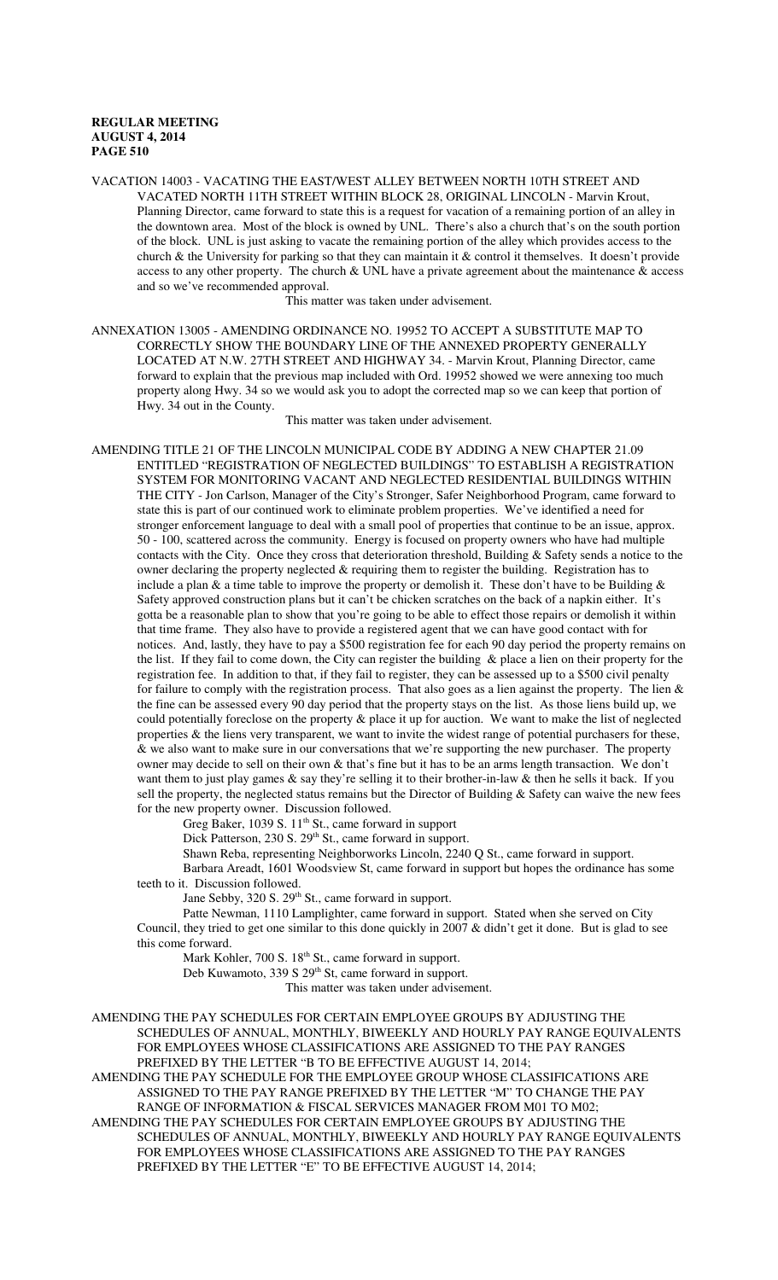VACATION 14003 - VACATING THE EAST/WEST ALLEY BETWEEN NORTH 10TH STREET AND VACATED NORTH 11TH STREET WITHIN BLOCK 28, ORIGINAL LINCOLN - Marvin Krout, Planning Director, came forward to state this is a request for vacation of a remaining portion of an alley in the downtown area. Most of the block is owned by UNL. There's also a church that's on the south portion of the block. UNL is just asking to vacate the remaining portion of the alley which provides access to the church & the University for parking so that they can maintain it & control it themselves. It doesn't provide access to any other property. The church & UNL have a private agreement about the maintenance & access and so we've recommended approval.

This matter was taken under advisement.

ANNEXATION 13005 - AMENDING ORDINANCE NO. 19952 TO ACCEPT A SUBSTITUTE MAP TO CORRECTLY SHOW THE BOUNDARY LINE OF THE ANNEXED PROPERTY GENERALLY LOCATED AT N.W. 27TH STREET AND HIGHWAY 34. - Marvin Krout, Planning Director, came forward to explain that the previous map included with Ord. 19952 showed we were annexing too much property along Hwy. 34 so we would ask you to adopt the corrected map so we can keep that portion of Hwy. 34 out in the County.

This matter was taken under advisement.

AMENDING TITLE 21 OF THE LINCOLN MUNICIPAL CODE BY ADDING A NEW CHAPTER 21.09 ENTITLED "REGISTRATION OF NEGLECTED BUILDINGS" TO ESTABLISH A REGISTRATION SYSTEM FOR MONITORING VACANT AND NEGLECTED RESIDENTIAL BUILDINGS WITHIN THE CITY - Jon Carlson, Manager of the City's Stronger, Safer Neighborhood Program, came forward to state this is part of our continued work to eliminate problem properties. We've identified a need for stronger enforcement language to deal with a small pool of properties that continue to be an issue, approx. 50 - 100, scattered across the community. Energy is focused on property owners who have had multiple contacts with the City. Once they cross that deterioration threshold, Building & Safety sends a notice to the owner declaring the property neglected & requiring them to register the building. Registration has to include a plan  $\&$  a time table to improve the property or demolish it. These don't have to be Building  $\&$ Safety approved construction plans but it can't be chicken scratches on the back of a napkin either. It's gotta be a reasonable plan to show that you're going to be able to effect those repairs or demolish it within that time frame. They also have to provide a registered agent that we can have good contact with for notices. And, lastly, they have to pay a \$500 registration fee for each 90 day period the property remains on the list. If they fail to come down, the City can register the building & place a lien on their property for the registration fee. In addition to that, if they fail to register, they can be assessed up to a \$500 civil penalty for failure to comply with the registration process. That also goes as a lien against the property. The lien & the fine can be assessed every 90 day period that the property stays on the list. As those liens build up, we could potentially foreclose on the property & place it up for auction. We want to make the list of neglected properties & the liens very transparent, we want to invite the widest range of potential purchasers for these, & we also want to make sure in our conversations that we're supporting the new purchaser. The property owner may decide to sell on their own & that's fine but it has to be an arms length transaction. We don't want them to just play games & say they're selling it to their brother-in-law & then he sells it back. If you sell the property, the neglected status remains but the Director of Building & Safety can waive the new fees for the new property owner. Discussion followed.

Greg Baker, 1039 S.  $11<sup>th</sup>$  St., came forward in support

Dick Patterson, 230 S. 29<sup>th</sup> St., came forward in support.

Shawn Reba, representing Neighborworks Lincoln, 2240 Q St., came forward in support. Barbara Areadt, 1601 Woodsview St, came forward in support but hopes the ordinance has some teeth to it. Discussion followed.

Jane Sebby, 320 S. 29<sup>th</sup> St., came forward in support.

Patte Newman, 1110 Lamplighter, came forward in support. Stated when she served on City Council, they tried to get one similar to this done quickly in 2007 & didn't get it done. But is glad to see this come forward.

Mark Kohler, 700 S.  $18<sup>th</sup>$  St., came forward in support.

Deb Kuwamoto, 339 S 29<sup>th</sup> St, came forward in support.

This matter was taken under advisement.

AMENDING THE PAY SCHEDULES FOR CERTAIN EMPLOYEE GROUPS BY ADJUSTING THE SCHEDULES OF ANNUAL, MONTHLY, BIWEEKLY AND HOURLY PAY RANGE EQUIVALENTS FOR EMPLOYEES WHOSE CLASSIFICATIONS ARE ASSIGNED TO THE PAY RANGES PREFIXED BY THE LETTER "B TO BE EFFECTIVE AUGUST 14, 2014;

AMENDING THE PAY SCHEDULE FOR THE EMPLOYEE GROUP WHOSE CLASSIFICATIONS ARE ASSIGNED TO THE PAY RANGE PREFIXED BY THE LETTER "M" TO CHANGE THE PAY RANGE OF INFORMATION & FISCAL SERVICES MANAGER FROM M01 TO M02;

AMENDING THE PAY SCHEDULES FOR CERTAIN EMPLOYEE GROUPS BY ADJUSTING THE SCHEDULES OF ANNUAL, MONTHLY, BIWEEKLY AND HOURLY PAY RANGE EQUIVALENTS FOR EMPLOYEES WHOSE CLASSIFICATIONS ARE ASSIGNED TO THE PAY RANGES PREFIXED BY THE LETTER "E" TO BE EFFECTIVE AUGUST 14, 2014;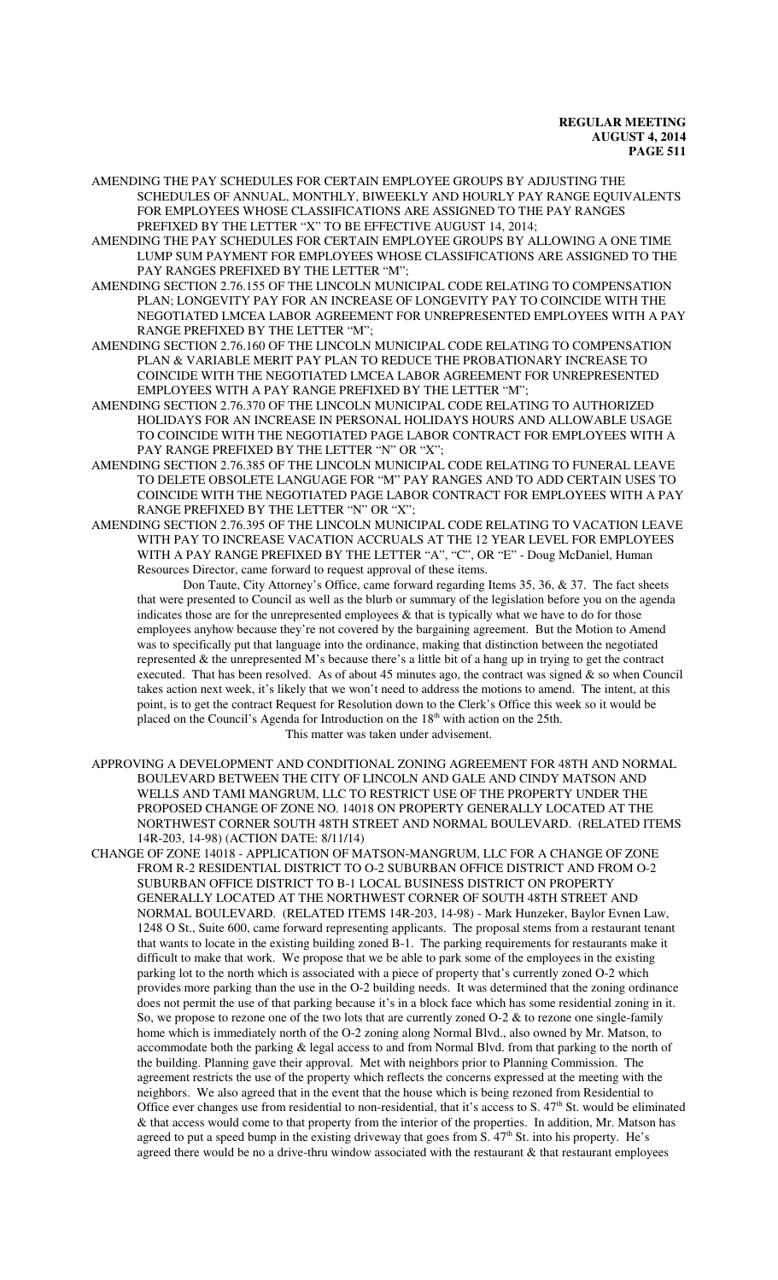AMENDING THE PAY SCHEDULES FOR CERTAIN EMPLOYEE GROUPS BY ADJUSTING THE SCHEDULES OF ANNUAL, MONTHLY, BIWEEKLY AND HOURLY PAY RANGE EQUIVALENTS FOR EMPLOYEES WHOSE CLASSIFICATIONS ARE ASSIGNED TO THE PAY RANGES PREFIXED BY THE LETTER "X" TO BE EFFECTIVE AUGUST 14, 2014;

AMENDING THE PAY SCHEDULES FOR CERTAIN EMPLOYEE GROUPS BY ALLOWING A ONE TIME LUMP SUM PAYMENT FOR EMPLOYEES WHOSE CLASSIFICATIONS ARE ASSIGNED TO THE PAY RANGES PREFIXED BY THE LETTER "M";

AMENDING SECTION 2.76.155 OF THE LINCOLN MUNICIPAL CODE RELATING TO COMPENSATION PLAN; LONGEVITY PAY FOR AN INCREASE OF LONGEVITY PAY TO COINCIDE WITH THE NEGOTIATED LMCEA LABOR AGREEMENT FOR UNREPRESENTED EMPLOYEES WITH A PAY RANGE PREFIXED BY THE LETTER "M";

AMENDING SECTION 2.76.160 OF THE LINCOLN MUNICIPAL CODE RELATING TO COMPENSATION PLAN & VARIABLE MERIT PAY PLAN TO REDUCE THE PROBATIONARY INCREASE TO COINCIDE WITH THE NEGOTIATED LMCEA LABOR AGREEMENT FOR UNREPRESENTED EMPLOYEES WITH A PAY RANGE PREFIXED BY THE LETTER "M";

AMENDING SECTION 2.76.370 OF THE LINCOLN MUNICIPAL CODE RELATING TO AUTHORIZED HOLIDAYS FOR AN INCREASE IN PERSONAL HOLIDAYS HOURS AND ALLOWABLE USAGE TO COINCIDE WITH THE NEGOTIATED PAGE LABOR CONTRACT FOR EMPLOYEES WITH A PAY RANGE PREFIXED BY THE LETTER "N" OR "X";

AMENDING SECTION 2.76.385 OF THE LINCOLN MUNICIPAL CODE RELATING TO FUNERAL LEAVE TO DELETE OBSOLETE LANGUAGE FOR "M" PAY RANGES AND TO ADD CERTAIN USES TO COINCIDE WITH THE NEGOTIATED PAGE LABOR CONTRACT FOR EMPLOYEES WITH A PAY RANGE PREFIXED BY THE LETTER "N" OR "X";

AMENDING SECTION 2.76.395 OF THE LINCOLN MUNICIPAL CODE RELATING TO VACATION LEAVE WITH PAY TO INCREASE VACATION ACCRUALS AT THE 12 YEAR LEVEL FOR EMPLOYEES WITH A PAY RANGE PREFIXED BY THE LETTER "A", "C", OR "E" - Doug McDaniel, Human Resources Director, came forward to request approval of these items.

Don Taute, City Attorney's Office, came forward regarding Items 35, 36, & 37. The fact sheets that were presented to Council as well as the blurb or summary of the legislation before you on the agenda indicates those are for the unrepresented employees & that is typically what we have to do for those employees anyhow because they're not covered by the bargaining agreement. But the Motion to Amend was to specifically put that language into the ordinance, making that distinction between the negotiated represented & the unrepresented M's because there's a little bit of a hang up in trying to get the contract executed. That has been resolved. As of about 45 minutes ago, the contract was signed  $\&$  so when Council takes action next week, it's likely that we won't need to address the motions to amend. The intent, at this point, is to get the contract Request for Resolution down to the Clerk's Office this week so it would be placed on the Council's Agenda for Introduction on the 18<sup>th</sup> with action on the 25th. This matter was taken under advisement.

APPROVING A DEVELOPMENT AND CONDITIONAL ZONING AGREEMENT FOR 48TH AND NORMAL BOULEVARD BETWEEN THE CITY OF LINCOLN AND GALE AND CINDY MATSON AND WELLS AND TAMI MANGRUM, LLC TO RESTRICT USE OF THE PROPERTY UNDER THE PROPOSED CHANGE OF ZONE NO. 14018 ON PROPERTY GENERALLY LOCATED AT THE NORTHWEST CORNER SOUTH 48TH STREET AND NORMAL BOULEVARD. (RELATED ITEMS 14R-203, 14-98) (ACTION DATE: 8/11/14)

CHANGE OF ZONE 14018 - APPLICATION OF MATSON-MANGRUM, LLC FOR A CHANGE OF ZONE FROM R-2 RESIDENTIAL DISTRICT TO O-2 SUBURBAN OFFICE DISTRICT AND FROM O-2 SUBURBAN OFFICE DISTRICT TO B-1 LOCAL BUSINESS DISTRICT ON PROPERTY GENERALLY LOCATED AT THE NORTHWEST CORNER OF SOUTH 48TH STREET AND NORMAL BOULEVARD. (RELATED ITEMS 14R-203, 14-98) - Mark Hunzeker, Baylor Evnen Law, 1248 O St., Suite 600, came forward representing applicants. The proposal stems from a restaurant tenant that wants to locate in the existing building zoned B-1. The parking requirements for restaurants make it difficult to make that work. We propose that we be able to park some of the employees in the existing parking lot to the north which is associated with a piece of property that's currently zoned O-2 which provides more parking than the use in the O-2 building needs. It was determined that the zoning ordinance does not permit the use of that parking because it's in a block face which has some residential zoning in it. So, we propose to rezone one of the two lots that are currently zoned O-2 & to rezone one single-family home which is immediately north of the O-2 zoning along Normal Blvd., also owned by Mr. Matson, to accommodate both the parking & legal access to and from Normal Blvd. from that parking to the north of the building. Planning gave their approval. Met with neighbors prior to Planning Commission. The agreement restricts the use of the property which reflects the concerns expressed at the meeting with the neighbors. We also agreed that in the event that the house which is being rezoned from Residential to Office ever changes use from residential to non-residential, that it's access to S. 47<sup>th</sup> St. would be eliminated & that access would come to that property from the interior of the properties. In addition, Mr. Matson has agreed to put a speed bump in the existing driveway that goes from S. 47<sup>th</sup> St. into his property. He's agreed there would be no a drive-thru window associated with the restaurant & that restaurant employees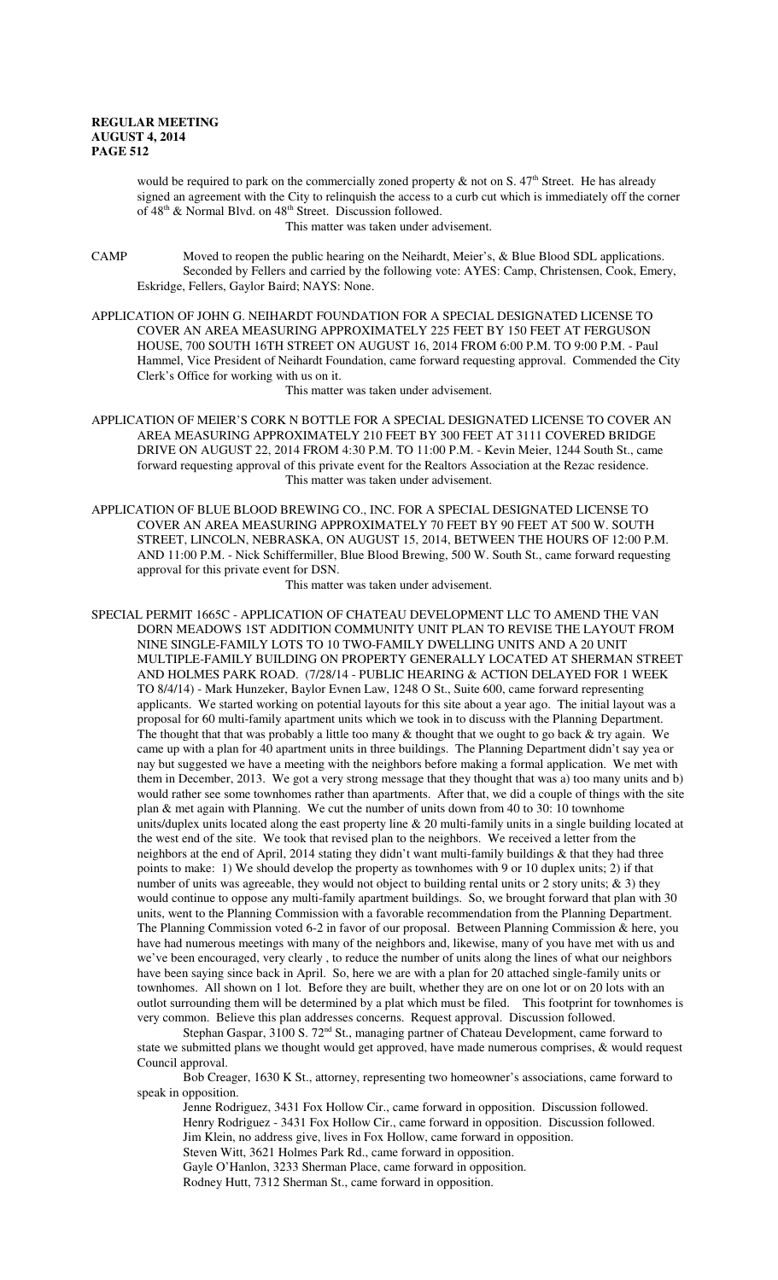would be required to park on the commercially zoned property  $\&$  not on S. 47<sup>th</sup> Street. He has already signed an agreement with the City to relinquish the access to a curb cut which is immediately off the corner of  $48<sup>th</sup>$  & Normal Blvd. on  $48<sup>th</sup>$  Street. Discussion followed.

This matter was taken under advisement.

CAMP Moved to reopen the public hearing on the Neihardt, Meier's, & Blue Blood SDL applications. Seconded by Fellers and carried by the following vote: AYES: Camp, Christensen, Cook, Emery, Eskridge, Fellers, Gaylor Baird; NAYS: None.

APPLICATION OF JOHN G. NEIHARDT FOUNDATION FOR A SPECIAL DESIGNATED LICENSE TO COVER AN AREA MEASURING APPROXIMATELY 225 FEET BY 150 FEET AT FERGUSON HOUSE, 700 SOUTH 16TH STREET ON AUGUST 16, 2014 FROM 6:00 P.M. TO 9:00 P.M. - Paul Hammel, Vice President of Neihardt Foundation, came forward requesting approval. Commended the City Clerk's Office for working with us on it.

This matter was taken under advisement.

- APPLICATION OF MEIER'S CORK N BOTTLE FOR A SPECIAL DESIGNATED LICENSE TO COVER AN AREA MEASURING APPROXIMATELY 210 FEET BY 300 FEET AT 3111 COVERED BRIDGE DRIVE ON AUGUST 22, 2014 FROM 4:30 P.M. TO 11:00 P.M. - Kevin Meier, 1244 South St., came forward requesting approval of this private event for the Realtors Association at the Rezac residence. This matter was taken under advisement.
- APPLICATION OF BLUE BLOOD BREWING CO., INC. FOR A SPECIAL DESIGNATED LICENSE TO COVER AN AREA MEASURING APPROXIMATELY 70 FEET BY 90 FEET AT 500 W. SOUTH STREET, LINCOLN, NEBRASKA, ON AUGUST 15, 2014, BETWEEN THE HOURS OF 12:00 P.M. AND 11:00 P.M. - Nick Schiffermiller, Blue Blood Brewing, 500 W. South St., came forward requesting approval for this private event for DSN.

This matter was taken under advisement.

SPECIAL PERMIT 1665C - APPLICATION OF CHATEAU DEVELOPMENT LLC TO AMEND THE VAN DORN MEADOWS 1ST ADDITION COMMUNITY UNIT PLAN TO REVISE THE LAYOUT FROM NINE SINGLE-FAMILY LOTS TO 10 TWO-FAMILY DWELLING UNITS AND A 20 UNIT MULTIPLE-FAMILY BUILDING ON PROPERTY GENERALLY LOCATED AT SHERMAN STREET AND HOLMES PARK ROAD. (7/28/14 - PUBLIC HEARING & ACTION DELAYED FOR 1 WEEK TO 8/4/14) - Mark Hunzeker, Baylor Evnen Law, 1248 O St., Suite 600, came forward representing applicants. We started working on potential layouts for this site about a year ago. The initial layout was a proposal for 60 multi-family apartment units which we took in to discuss with the Planning Department. The thought that that was probably a little too many  $\&$  thought that we ought to go back  $\&$  try again. We came up with a plan for 40 apartment units in three buildings. The Planning Department didn't say yea or nay but suggested we have a meeting with the neighbors before making a formal application. We met with them in December, 2013. We got a very strong message that they thought that was a) too many units and b) would rather see some townhomes rather than apartments. After that, we did a couple of things with the site plan & met again with Planning. We cut the number of units down from 40 to 30: 10 townhome units/duplex units located along the east property line & 20 multi-family units in a single building located at the west end of the site. We took that revised plan to the neighbors. We received a letter from the neighbors at the end of April, 2014 stating they didn't want multi-family buildings & that they had three points to make: 1) We should develop the property as townhomes with 9 or 10 duplex units; 2) if that number of units was agreeable, they would not object to building rental units or 2 story units; & 3) they would continue to oppose any multi-family apartment buildings. So, we brought forward that plan with 30 units, went to the Planning Commission with a favorable recommendation from the Planning Department. The Planning Commission voted 6-2 in favor of our proposal. Between Planning Commission & here, you have had numerous meetings with many of the neighbors and, likewise, many of you have met with us and we've been encouraged, very clearly , to reduce the number of units along the lines of what our neighbors have been saying since back in April. So, here we are with a plan for 20 attached single-family units or townhomes. All shown on 1 lot. Before they are built, whether they are on one lot or on 20 lots with an outlot surrounding them will be determined by a plat which must be filed. This footprint for townhomes is very common. Believe this plan addresses concerns. Request approval. Discussion followed.

Stephan Gaspar, 3100 S. 72<sup>nd</sup> St., managing partner of Chateau Development, came forward to state we submitted plans we thought would get approved, have made numerous comprises, & would request Council approval.

Bob Creager, 1630 K St., attorney, representing two homeowner's associations, came forward to speak in opposition.

Jenne Rodriguez, 3431 Fox Hollow Cir., came forward in opposition. Discussion followed. Henry Rodriguez - 3431 Fox Hollow Cir., came forward in opposition. Discussion followed. Jim Klein, no address give, lives in Fox Hollow, came forward in opposition. Steven Witt, 3621 Holmes Park Rd., came forward in opposition. Gayle O'Hanlon, 3233 Sherman Place, came forward in opposition. Rodney Hutt, 7312 Sherman St., came forward in opposition.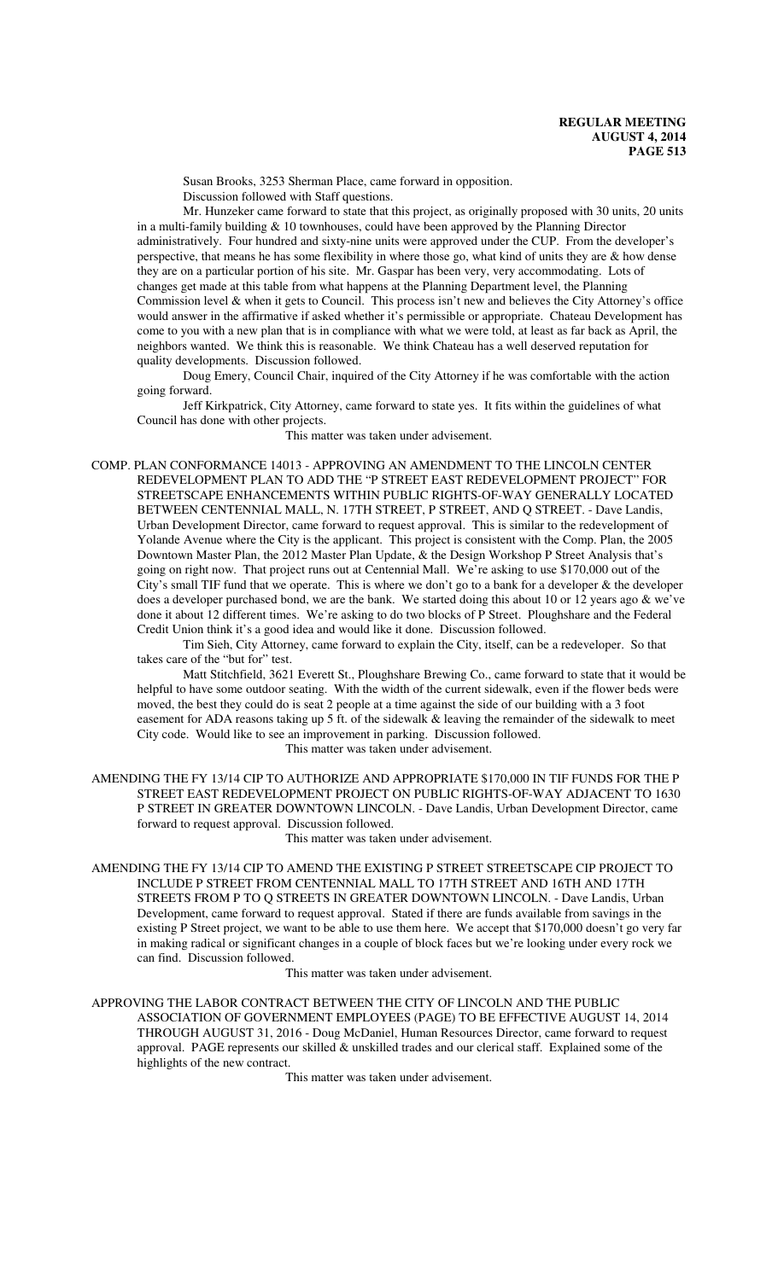Susan Brooks, 3253 Sherman Place, came forward in opposition. Discussion followed with Staff questions.

Mr. Hunzeker came forward to state that this project, as originally proposed with 30 units, 20 units in a multi-family building  $& 10$  townhouses, could have been approved by the Planning Director administratively. Four hundred and sixty-nine units were approved under the CUP. From the developer's perspective, that means he has some flexibility in where those go, what kind of units they are & how dense they are on a particular portion of his site. Mr. Gaspar has been very, very accommodating. Lots of changes get made at this table from what happens at the Planning Department level, the Planning Commission level & when it gets to Council. This process isn't new and believes the City Attorney's office would answer in the affirmative if asked whether it's permissible or appropriate. Chateau Development has come to you with a new plan that is in compliance with what we were told, at least as far back as April, the neighbors wanted. We think this is reasonable. We think Chateau has a well deserved reputation for quality developments. Discussion followed.

Doug Emery, Council Chair, inquired of the City Attorney if he was comfortable with the action going forward.

Jeff Kirkpatrick, City Attorney, came forward to state yes. It fits within the guidelines of what Council has done with other projects.

This matter was taken under advisement.

COMP. PLAN CONFORMANCE 14013 - APPROVING AN AMENDMENT TO THE LINCOLN CENTER REDEVELOPMENT PLAN TO ADD THE "P STREET EAST REDEVELOPMENT PROJECT" FOR STREETSCAPE ENHANCEMENTS WITHIN PUBLIC RIGHTS-OF-WAY GENERALLY LOCATED BETWEEN CENTENNIAL MALL, N. 17TH STREET, P STREET, AND Q STREET. - Dave Landis, Urban Development Director, came forward to request approval. This is similar to the redevelopment of Yolande Avenue where the City is the applicant. This project is consistent with the Comp. Plan, the 2005 Downtown Master Plan, the 2012 Master Plan Update, & the Design Workshop P Street Analysis that's going on right now. That project runs out at Centennial Mall. We're asking to use \$170,000 out of the City's small TIF fund that we operate. This is where we don't go to a bank for a developer  $\&$  the developer does a developer purchased bond, we are the bank. We started doing this about 10 or 12 years ago & we've done it about 12 different times. We're asking to do two blocks of P Street. Ploughshare and the Federal Credit Union think it's a good idea and would like it done. Discussion followed.

Tim Sieh, City Attorney, came forward to explain the City, itself, can be a redeveloper. So that takes care of the "but for" test.

Matt Stitchfield, 3621 Everett St., Ploughshare Brewing Co., came forward to state that it would be helpful to have some outdoor seating. With the width of the current sidewalk, even if the flower beds were moved, the best they could do is seat 2 people at a time against the side of our building with a 3 foot easement for ADA reasons taking up 5 ft. of the sidewalk & leaving the remainder of the sidewalk to meet City code. Would like to see an improvement in parking. Discussion followed. This matter was taken under advisement.

AMENDING THE FY 13/14 CIP TO AUTHORIZE AND APPROPRIATE \$170,000 IN TIF FUNDS FOR THE P STREET EAST REDEVELOPMENT PROJECT ON PUBLIC RIGHTS-OF-WAY ADJACENT TO 1630 P STREET IN GREATER DOWNTOWN LINCOLN. - Dave Landis, Urban Development Director, came forward to request approval. Discussion followed.

This matter was taken under advisement.

AMENDING THE FY 13/14 CIP TO AMEND THE EXISTING P STREET STREETSCAPE CIP PROJECT TO INCLUDE P STREET FROM CENTENNIAL MALL TO 17TH STREET AND 16TH AND 17TH STREETS FROM P TO Q STREETS IN GREATER DOWNTOWN LINCOLN. - Dave Landis, Urban Development, came forward to request approval. Stated if there are funds available from savings in the existing P Street project, we want to be able to use them here. We accept that \$170,000 doesn't go very far in making radical or significant changes in a couple of block faces but we're looking under every rock we can find. Discussion followed.

This matter was taken under advisement.

APPROVING THE LABOR CONTRACT BETWEEN THE CITY OF LINCOLN AND THE PUBLIC ASSOCIATION OF GOVERNMENT EMPLOYEES (PAGE) TO BE EFFECTIVE AUGUST 14, 2014 THROUGH AUGUST 31, 2016 - Doug McDaniel, Human Resources Director, came forward to request approval. PAGE represents our skilled & unskilled trades and our clerical staff. Explained some of the highlights of the new contract.

This matter was taken under advisement.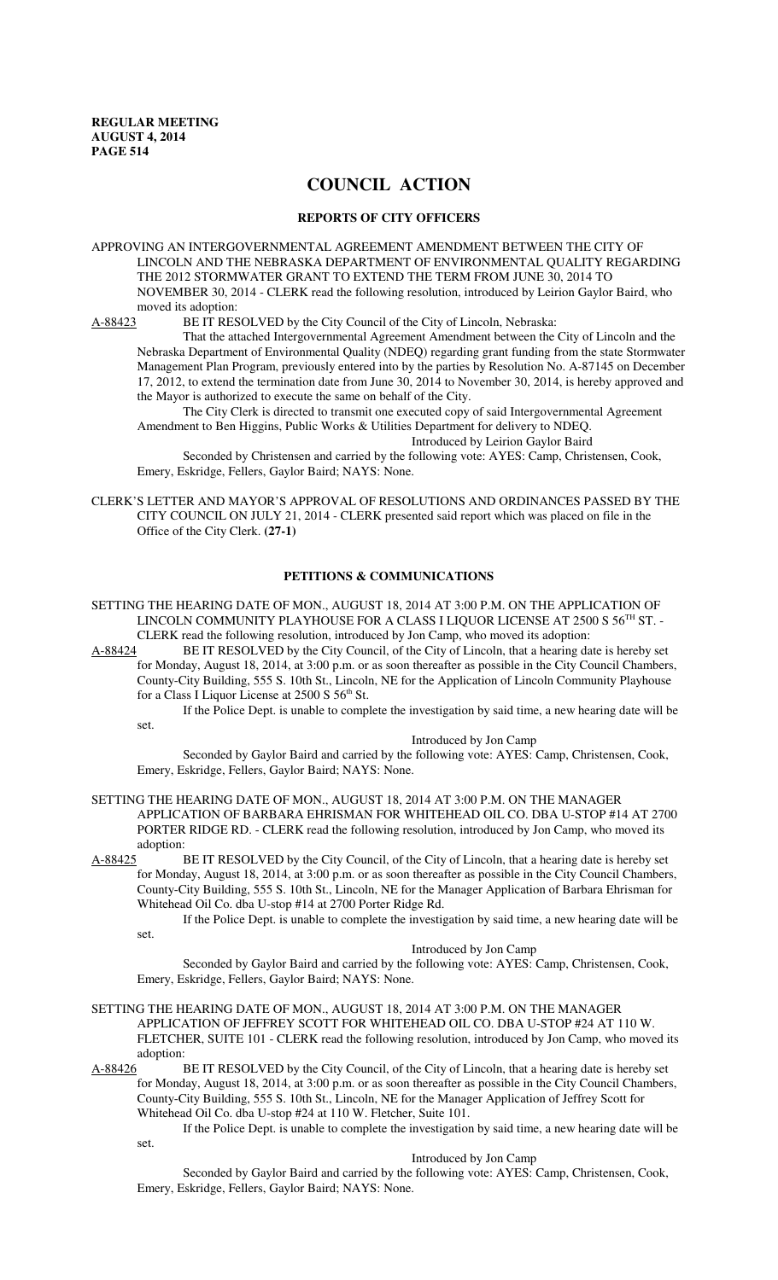# **COUNCIL ACTION**

## **REPORTS OF CITY OFFICERS**

APPROVING AN INTERGOVERNMENTAL AGREEMENT AMENDMENT BETWEEN THE CITY OF LINCOLN AND THE NEBRASKA DEPARTMENT OF ENVIRONMENTAL QUALITY REGARDING THE 2012 STORMWATER GRANT TO EXTEND THE TERM FROM JUNE 30, 2014 TO NOVEMBER 30, 2014 - CLERK read the following resolution, introduced by Leirion Gaylor Baird, who moved its adoption:

A-88423 BE IT RESOLVED by the City Council of the City of Lincoln, Nebraska:

That the attached Intergovernmental Agreement Amendment between the City of Lincoln and the Nebraska Department of Environmental Quality (NDEQ) regarding grant funding from the state Stormwater Management Plan Program, previously entered into by the parties by Resolution No. A-87145 on December 17, 2012, to extend the termination date from June 30, 2014 to November 30, 2014, is hereby approved and the Mayor is authorized to execute the same on behalf of the City.

The City Clerk is directed to transmit one executed copy of said Intergovernmental Agreement Amendment to Ben Higgins, Public Works & Utilities Department for delivery to NDEQ.

Introduced by Leirion Gaylor Baird

Seconded by Christensen and carried by the following vote: AYES: Camp, Christensen, Cook, Emery, Eskridge, Fellers, Gaylor Baird; NAYS: None.

CLERK'S LETTER AND MAYOR'S APPROVAL OF RESOLUTIONS AND ORDINANCES PASSED BY THE CITY COUNCIL ON JULY 21, 2014 - CLERK presented said report which was placed on file in the Office of the City Clerk. **(27-1)**

#### **PETITIONS & COMMUNICATIONS**

SETTING THE HEARING DATE OF MON., AUGUST 18, 2014 AT 3:00 P.M. ON THE APPLICATION OF LINCOLN COMMUNITY PLAYHOUSE FOR A CLASS I LIQUOR LICENSE AT 2500 S 56<sup>TH</sup> ST. -CLERK read the following resolution, introduced by Jon Camp, who moved its adoption:

A-88424 BE IT RESOLVED by the City Council, of the City of Lincoln, that a hearing date is hereby set for Monday, August 18, 2014, at 3:00 p.m. or as soon thereafter as possible in the City Council Chambers, County-City Building, 555 S. 10th St., Lincoln, NE for the Application of Lincoln Community Playhouse for a Class I Liquor License at 2500 S 56<sup>th</sup> St.

If the Police Dept. is unable to complete the investigation by said time, a new hearing date will be set.

Introduced by Jon Camp

Seconded by Gaylor Baird and carried by the following vote: AYES: Camp, Christensen, Cook, Emery, Eskridge, Fellers, Gaylor Baird; NAYS: None.

SETTING THE HEARING DATE OF MON., AUGUST 18, 2014 AT 3:00 P.M. ON THE MANAGER APPLICATION OF BARBARA EHRISMAN FOR WHITEHEAD OIL CO. DBA U-STOP #14 AT 2700 PORTER RIDGE RD. - CLERK read the following resolution, introduced by Jon Camp, who moved its adoption:<br>A-88425 I

BE IT RESOLVED by the City Council, of the City of Lincoln, that a hearing date is hereby set for Monday, August 18, 2014, at 3:00 p.m. or as soon thereafter as possible in the City Council Chambers, County-City Building, 555 S. 10th St., Lincoln, NE for the Manager Application of Barbara Ehrisman for Whitehead Oil Co. dba U-stop #14 at 2700 Porter Ridge Rd.

If the Police Dept. is unable to complete the investigation by said time, a new hearing date will be set.

Introduced by Jon Camp

Seconded by Gaylor Baird and carried by the following vote: AYES: Camp, Christensen, Cook, Emery, Eskridge, Fellers, Gaylor Baird; NAYS: None.

- SETTING THE HEARING DATE OF MON., AUGUST 18, 2014 AT 3:00 P.M. ON THE MANAGER APPLICATION OF JEFFREY SCOTT FOR WHITEHEAD OIL CO. DBA U-STOP #24 AT 110 W. FLETCHER, SUITE 101 - CLERK read the following resolution, introduced by Jon Camp, who moved its
- adoption:<br>A-88426 I BE IT RESOLVED by the City Council, of the City of Lincoln, that a hearing date is hereby set for Monday, August 18, 2014, at 3:00 p.m. or as soon thereafter as possible in the City Council Chambers, County-City Building, 555 S. 10th St., Lincoln, NE for the Manager Application of Jeffrey Scott for Whitehead Oil Co. dba U-stop #24 at 110 W. Fletcher, Suite 101.

If the Police Dept. is unable to complete the investigation by said time, a new hearing date will be set.

Introduced by Jon Camp

Seconded by Gaylor Baird and carried by the following vote: AYES: Camp, Christensen, Cook, Emery, Eskridge, Fellers, Gaylor Baird; NAYS: None.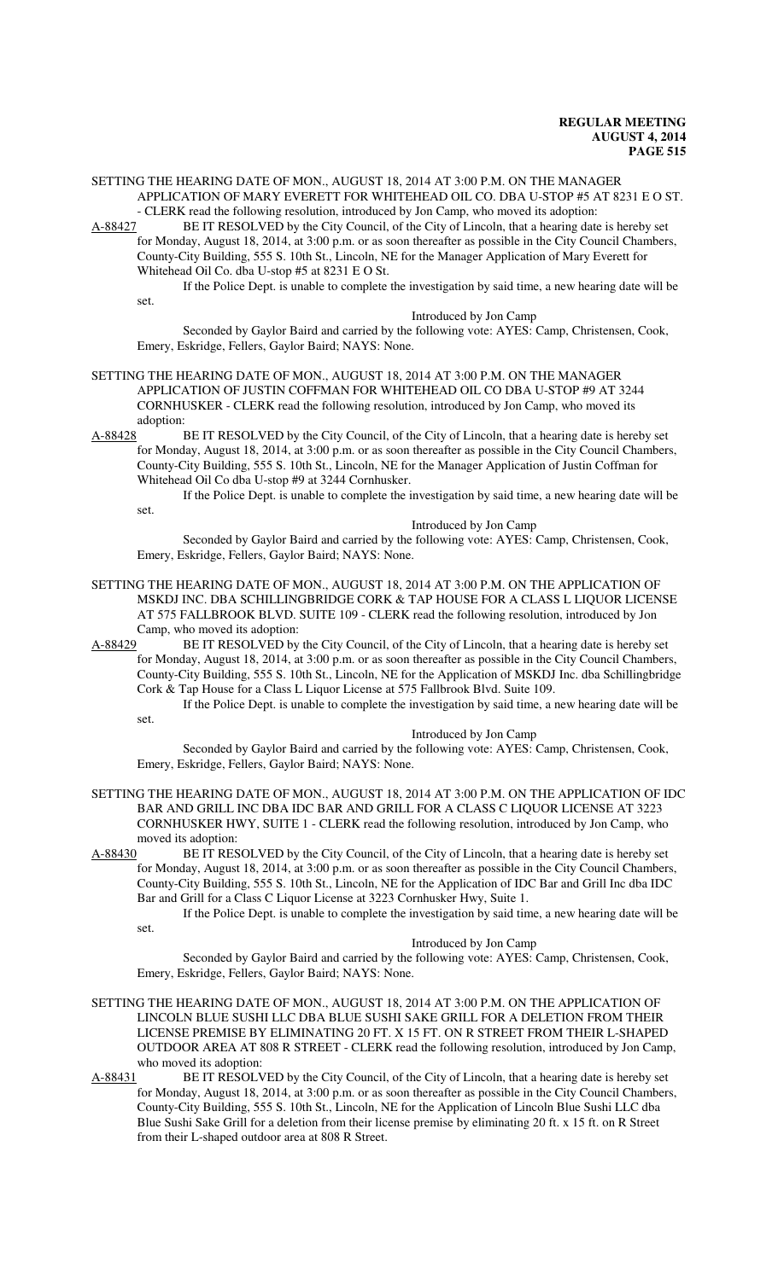SETTING THE HEARING DATE OF MON., AUGUST 18, 2014 AT 3:00 P.M. ON THE MANAGER APPLICATION OF MARY EVERETT FOR WHITEHEAD OIL CO. DBA U-STOP #5 AT 8231 E O ST.

- CLERK read the following resolution, introduced by Jon Camp, who moved its adoption:<br>A-88427 BE IT RESOLVED by the City Council, of the City of Lincoln, that a hearing date BE IT RESOLVED by the City Council, of the City of Lincoln, that a hearing date is hereby set for Monday, August 18, 2014, at 3:00 p.m. or as soon thereafter as possible in the City Council Chambers, County-City Building, 555 S. 10th St., Lincoln, NE for the Manager Application of Mary Everett for Whitehead Oil Co. dba U-stop #5 at 8231 E O St.

If the Police Dept. is unable to complete the investigation by said time, a new hearing date will be set.

Introduced by Jon Camp

Seconded by Gaylor Baird and carried by the following vote: AYES: Camp, Christensen, Cook, Emery, Eskridge, Fellers, Gaylor Baird; NAYS: None.

SETTING THE HEARING DATE OF MON., AUGUST 18, 2014 AT 3:00 P.M. ON THE MANAGER APPLICATION OF JUSTIN COFFMAN FOR WHITEHEAD OIL CO DBA U-STOP #9 AT 3244 CORNHUSKER - CLERK read the following resolution, introduced by Jon Camp, who moved its adoption:

A-88428 BE IT RESOLVED by the City Council, of the City of Lincoln, that a hearing date is hereby set for Monday, August 18, 2014, at 3:00 p.m. or as soon thereafter as possible in the City Council Chambers, County-City Building, 555 S. 10th St., Lincoln, NE for the Manager Application of Justin Coffman for Whitehead Oil Co dba U-stop #9 at 3244 Cornhusker.

If the Police Dept. is unable to complete the investigation by said time, a new hearing date will be

set.

#### Introduced by Jon Camp

Seconded by Gaylor Baird and carried by the following vote: AYES: Camp, Christensen, Cook, Emery, Eskridge, Fellers, Gaylor Baird; NAYS: None.

SETTING THE HEARING DATE OF MON., AUGUST 18, 2014 AT 3:00 P.M. ON THE APPLICATION OF MSKDJ INC. DBA SCHILLINGBRIDGE CORK & TAP HOUSE FOR A CLASS L LIQUOR LICENSE AT 575 FALLBROOK BLVD. SUITE 109 - CLERK read the following resolution, introduced by Jon Camp, who moved its adoption:

A-88429 BE IT RESOLVED by the City Council, of the City of Lincoln, that a hearing date is hereby set for Monday, August 18, 2014, at 3:00 p.m. or as soon thereafter as possible in the City Council Chambers, County-City Building, 555 S. 10th St., Lincoln, NE for the Application of MSKDJ Inc. dba Schillingbridge Cork & Tap House for a Class L Liquor License at 575 Fallbrook Blvd. Suite 109.

If the Police Dept. is unable to complete the investigation by said time, a new hearing date will be set.

Introduced by Jon Camp

Seconded by Gaylor Baird and carried by the following vote: AYES: Camp, Christensen, Cook, Emery, Eskridge, Fellers, Gaylor Baird; NAYS: None.

- SETTING THE HEARING DATE OF MON., AUGUST 18, 2014 AT 3:00 P.M. ON THE APPLICATION OF IDC BAR AND GRILL INC DBA IDC BAR AND GRILL FOR A CLASS C LIQUOR LICENSE AT 3223 CORNHUSKER HWY, SUITE 1 - CLERK read the following resolution, introduced by Jon Camp, who moved its adoption:
- A-88430 BE IT RESOLVED by the City Council, of the City of Lincoln, that a hearing date is hereby set for Monday, August 18, 2014, at 3:00 p.m. or as soon thereafter as possible in the City Council Chambers, County-City Building, 555 S. 10th St., Lincoln, NE for the Application of IDC Bar and Grill Inc dba IDC Bar and Grill for a Class C Liquor License at 3223 Cornhusker Hwy, Suite 1.

If the Police Dept. is unable to complete the investigation by said time, a new hearing date will be set.

#### Introduced by Jon Camp

Seconded by Gaylor Baird and carried by the following vote: AYES: Camp, Christensen, Cook, Emery, Eskridge, Fellers, Gaylor Baird; NAYS: None.

- SETTING THE HEARING DATE OF MON., AUGUST 18, 2014 AT 3:00 P.M. ON THE APPLICATION OF LINCOLN BLUE SUSHI LLC DBA BLUE SUSHI SAKE GRILL FOR A DELETION FROM THEIR LICENSE PREMISE BY ELIMINATING 20 FT. X 15 FT. ON R STREET FROM THEIR L-SHAPED OUTDOOR AREA AT 808 R STREET - CLERK read the following resolution, introduced by Jon Camp, who moved its adoption:<br>A-88431 BE IT RESOLV
- BE IT RESOLVED by the City Council, of the City of Lincoln, that a hearing date is hereby set for Monday, August 18, 2014, at 3:00 p.m. or as soon thereafter as possible in the City Council Chambers, County-City Building, 555 S. 10th St., Lincoln, NE for the Application of Lincoln Blue Sushi LLC dba Blue Sushi Sake Grill for a deletion from their license premise by eliminating 20 ft. x 15 ft. on R Street from their L-shaped outdoor area at 808 R Street.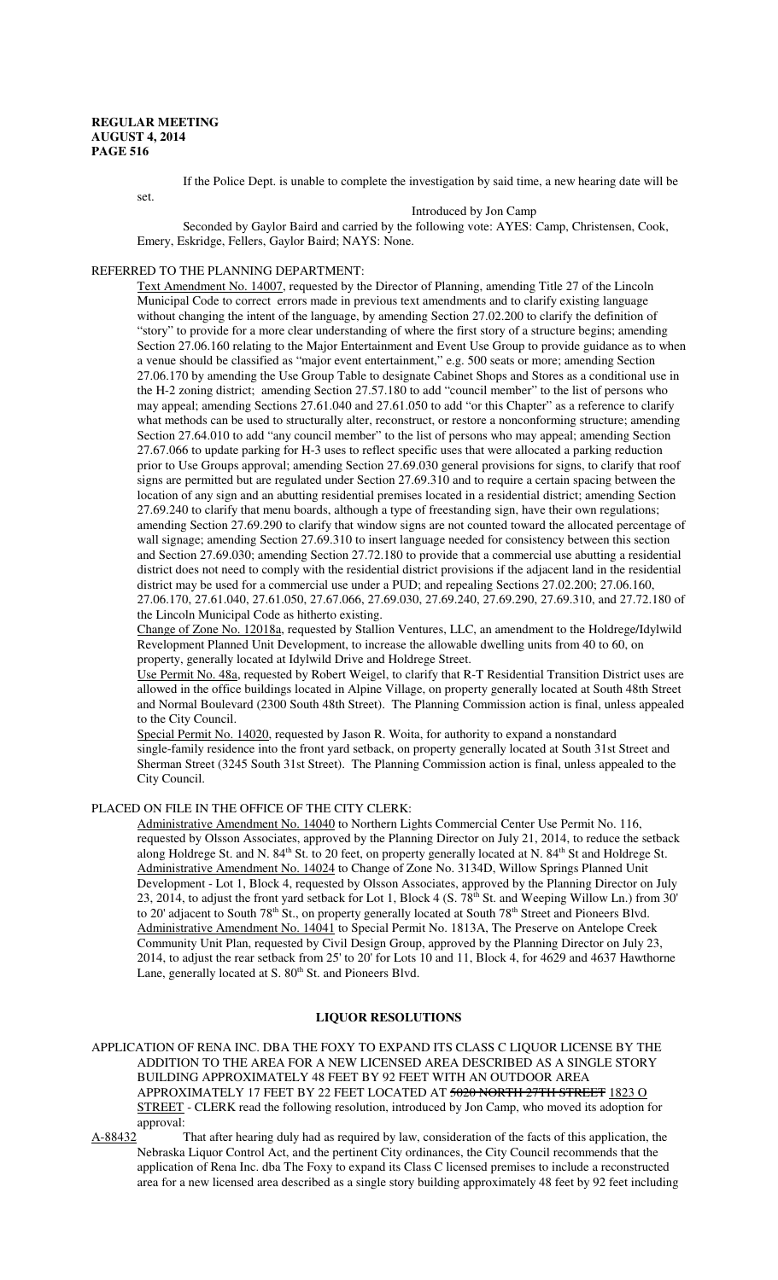If the Police Dept. is unable to complete the investigation by said time, a new hearing date will be

set.

Introduced by Jon Camp

Seconded by Gaylor Baird and carried by the following vote: AYES: Camp, Christensen, Cook, Emery, Eskridge, Fellers, Gaylor Baird; NAYS: None.

## REFERRED TO THE PLANNING DEPARTMENT:

Text Amendment No. 14007, requested by the Director of Planning, amending Title 27 of the Lincoln Municipal Code to correct errors made in previous text amendments and to clarify existing language without changing the intent of the language, by amending Section 27.02.200 to clarify the definition of "story" to provide for a more clear understanding of where the first story of a structure begins; amending Section 27.06.160 relating to the Major Entertainment and Event Use Group to provide guidance as to when a venue should be classified as "major event entertainment," e.g. 500 seats or more; amending Section 27.06.170 by amending the Use Group Table to designate Cabinet Shops and Stores as a conditional use in the H-2 zoning district; amending Section 27.57.180 to add "council member" to the list of persons who may appeal; amending Sections 27.61.040 and 27.61.050 to add "or this Chapter" as a reference to clarify what methods can be used to structurally alter, reconstruct, or restore a nonconforming structure; amending Section 27.64.010 to add "any council member" to the list of persons who may appeal; amending Section 27.67.066 to update parking for H-3 uses to reflect specific uses that were allocated a parking reduction prior to Use Groups approval; amending Section 27.69.030 general provisions for signs, to clarify that roof signs are permitted but are regulated under Section 27.69.310 and to require a certain spacing between the location of any sign and an abutting residential premises located in a residential district; amending Section 27.69.240 to clarify that menu boards, although a type of freestanding sign, have their own regulations; amending Section 27.69.290 to clarify that window signs are not counted toward the allocated percentage of wall signage; amending Section 27.69.310 to insert language needed for consistency between this section and Section 27.69.030; amending Section 27.72.180 to provide that a commercial use abutting a residential district does not need to comply with the residential district provisions if the adjacent land in the residential district may be used for a commercial use under a PUD; and repealing Sections 27.02.200; 27.06.160, 27.06.170, 27.61.040, 27.61.050, 27.67.066, 27.69.030, 27.69.240, 27.69.290, 27.69.310, and 27.72.180 of the Lincoln Municipal Code as hitherto existing.

Change of Zone No. 12018a, requested by Stallion Ventures, LLC, an amendment to the Holdrege/Idylwild Revelopment Planned Unit Development, to increase the allowable dwelling units from 40 to 60, on property, generally located at Idylwild Drive and Holdrege Street.

Use Permit No. 48a, requested by Robert Weigel, to clarify that R-T Residential Transition District uses are allowed in the office buildings located in Alpine Village, on property generally located at South 48th Street and Normal Boulevard (2300 South 48th Street). The Planning Commission action is final, unless appealed to the City Council.

Special Permit No. 14020, requested by Jason R. Woita, for authority to expand a nonstandard single-family residence into the front yard setback, on property generally located at South 31st Street and Sherman Street (3245 South 31st Street). The Planning Commission action is final, unless appealed to the City Council.

## PLACED ON FILE IN THE OFFICE OF THE CITY CLERK:

Administrative Amendment No. 14040 to Northern Lights Commercial Center Use Permit No. 116, requested by Olsson Associates, approved by the Planning Director on July 21, 2014, to reduce the setback along Holdrege St. and N. 84<sup>th</sup> St. to 20 feet, on property generally located at N. 84<sup>th</sup> St and Holdrege St. Administrative Amendment No. 14024 to Change of Zone No. 3134D, Willow Springs Planned Unit Development - Lot 1, Block 4, requested by Olsson Associates, approved by the Planning Director on July 23, 2014, to adjust the front yard setback for Lot 1, Block 4 (S. 78<sup>th</sup> St. and Weeping Willow Ln.) from 30' to 20' adjacent to South  $78<sup>th</sup>$  St., on property generally located at South  $78<sup>th</sup>$  Street and Pioneers Blvd. Administrative Amendment No. 14041 to Special Permit No. 1813A, The Preserve on Antelope Creek Community Unit Plan, requested by Civil Design Group, approved by the Planning Director on July 23, 2014, to adjust the rear setback from 25' to 20' for Lots 10 and 11, Block 4, for 4629 and 4637 Hawthorne Lane, generally located at S. 80<sup>th</sup> St. and Pioneers Blvd.

## **LIQUOR RESOLUTIONS**

APPLICATION OF RENA INC. DBA THE FOXY TO EXPAND ITS CLASS C LIQUOR LICENSE BY THE ADDITION TO THE AREA FOR A NEW LICENSED AREA DESCRIBED AS A SINGLE STORY BUILDING APPROXIMATELY 48 FEET BY 92 FEET WITH AN OUTDOOR AREA APPROXIMATELY 17 FEET BY 22 FEET LOCATED AT 5020 NORTH 27TH STREET 1823 O STREET - CLERK read the following resolution, introduced by Jon Camp, who moved its adoption for approval:

A-88432 That after hearing duly had as required by law, consideration of the facts of this application, the Nebraska Liquor Control Act, and the pertinent City ordinances, the City Council recommends that the application of Rena Inc. dba The Foxy to expand its Class C licensed premises to include a reconstructed area for a new licensed area described as a single story building approximately 48 feet by 92 feet including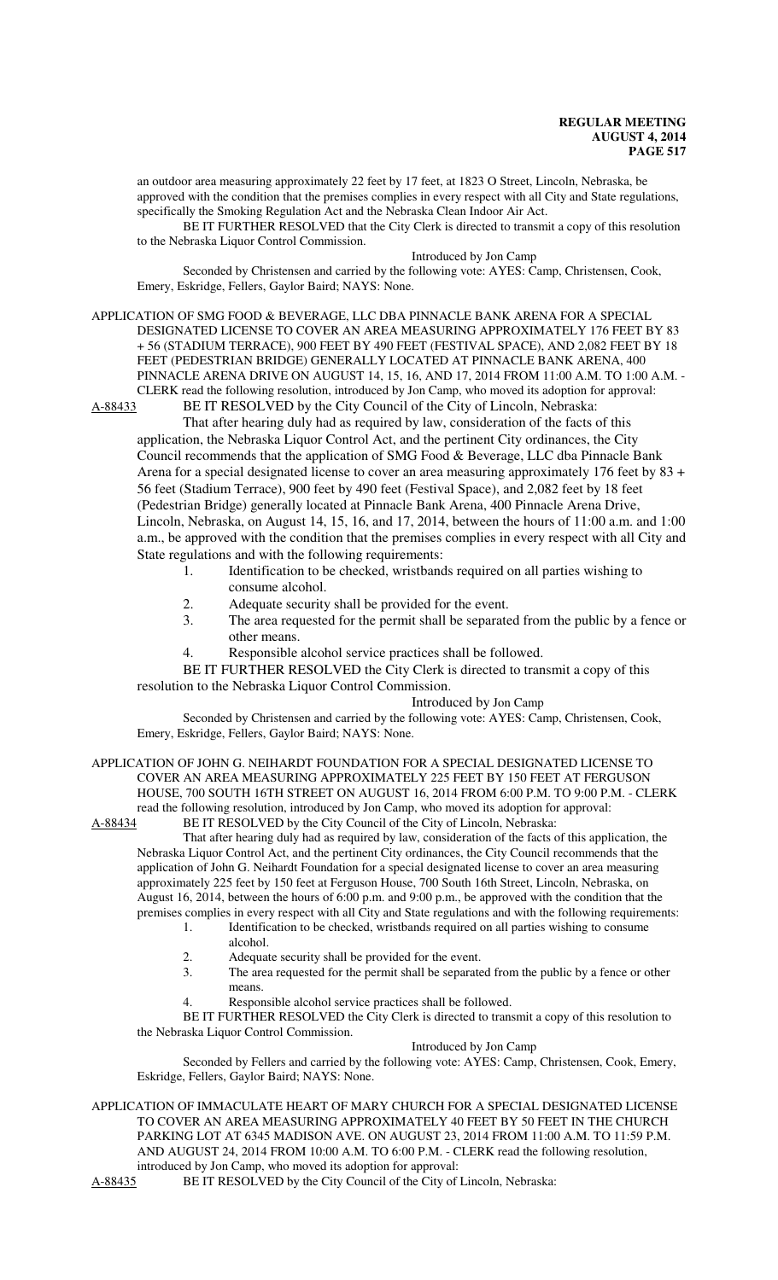an outdoor area measuring approximately 22 feet by 17 feet, at 1823 O Street, Lincoln, Nebraska, be approved with the condition that the premises complies in every respect with all City and State regulations, specifically the Smoking Regulation Act and the Nebraska Clean Indoor Air Act.

BE IT FURTHER RESOLVED that the City Clerk is directed to transmit a copy of this resolution to the Nebraska Liquor Control Commission.

#### Introduced by Jon Camp

Seconded by Christensen and carried by the following vote: AYES: Camp, Christensen, Cook, Emery, Eskridge, Fellers, Gaylor Baird; NAYS: None.

## APPLICATION OF SMG FOOD & BEVERAGE, LLC DBA PINNACLE BANK ARENA FOR A SPECIAL DESIGNATED LICENSE TO COVER AN AREA MEASURING APPROXIMATELY 176 FEET BY 83 + 56 (STADIUM TERRACE), 900 FEET BY 490 FEET (FESTIVAL SPACE), AND 2,082 FEET BY 18 FEET (PEDESTRIAN BRIDGE) GENERALLY LOCATED AT PINNACLE BANK ARENA, 400 PINNACLE ARENA DRIVE ON AUGUST 14, 15, 16, AND 17, 2014 FROM 11:00 A.M. TO 1:00 A.M. - CLERK read the following resolution, introduced by Jon Camp, who moved its adoption for approval:

A-88433 BE IT RESOLVED by the City Council of the City of Lincoln, Nebraska: That after hearing duly had as required by law, consideration of the facts of this

application, the Nebraska Liquor Control Act, and the pertinent City ordinances, the City Council recommends that the application of SMG Food & Beverage, LLC dba Pinnacle Bank Arena for a special designated license to cover an area measuring approximately 176 feet by 83 + 56 feet (Stadium Terrace), 900 feet by 490 feet (Festival Space), and 2,082 feet by 18 feet (Pedestrian Bridge) generally located at Pinnacle Bank Arena, 400 Pinnacle Arena Drive, Lincoln, Nebraska, on August 14, 15, 16, and 17, 2014, between the hours of 11:00 a.m. and 1:00 a.m., be approved with the condition that the premises complies in every respect with all City and State regulations and with the following requirements:

- 1. Identification to be checked, wristbands required on all parties wishing to
- consume alcohol.
- 2. Adequate security shall be provided for the event.
- 3. The area requested for the permit shall be separated from the public by a fence or other means.
- 4. Responsible alcohol service practices shall be followed.

BE IT FURTHER RESOLVED the City Clerk is directed to transmit a copy of this resolution to the Nebraska Liquor Control Commission.

## Introduced by Jon Camp

Seconded by Christensen and carried by the following vote: AYES: Camp, Christensen, Cook, Emery, Eskridge, Fellers, Gaylor Baird; NAYS: None.

# APPLICATION OF JOHN G. NEIHARDT FOUNDATION FOR A SPECIAL DESIGNATED LICENSE TO COVER AN AREA MEASURING APPROXIMATELY 225 FEET BY 150 FEET AT FERGUSON HOUSE, 700 SOUTH 16TH STREET ON AUGUST 16, 2014 FROM 6:00 P.M. TO 9:00 P.M. - CLERK read the following resolution, introduced by Jon Camp, who moved its adoption for approval:<br>A-88434 BE IT RESOLVED by the City Council of the City of Lincoln, Nebraska:

BE IT RESOLVED by the City Council of the City of Lincoln, Nebraska:

That after hearing duly had as required by law, consideration of the facts of this application, the Nebraska Liquor Control Act, and the pertinent City ordinances, the City Council recommends that the application of John G. Neihardt Foundation for a special designated license to cover an area measuring approximately 225 feet by 150 feet at Ferguson House, 700 South 16th Street, Lincoln, Nebraska, on August 16, 2014, between the hours of 6:00 p.m. and 9:00 p.m., be approved with the condition that the premises complies in every respect with all City and State regulations and with the following requirements:

1. Identification to be checked, wristbands required on all parties wishing to consume alcohol.

- 2. Adequate security shall be provided for the event.
- 3. The area requested for the permit shall be separated from the public by a fence or other means.
- 4. Responsible alcohol service practices shall be followed.

BE IT FURTHER RESOLVED the City Clerk is directed to transmit a copy of this resolution to the Nebraska Liquor Control Commission.

## Introduced by Jon Camp

Seconded by Fellers and carried by the following vote: AYES: Camp, Christensen, Cook, Emery, Eskridge, Fellers, Gaylor Baird; NAYS: None.

APPLICATION OF IMMACULATE HEART OF MARY CHURCH FOR A SPECIAL DESIGNATED LICENSE TO COVER AN AREA MEASURING APPROXIMATELY 40 FEET BY 50 FEET IN THE CHURCH PARKING LOT AT 6345 MADISON AVE. ON AUGUST 23, 2014 FROM 11:00 A.M. TO 11:59 P.M. AND AUGUST 24, 2014 FROM 10:00 A.M. TO 6:00 P.M. - CLERK read the following resolution, introduced by Jon Camp, who moved its adoption for approval:

A-88435 BE IT RESOLVED by the City Council of the City of Lincoln, Nebraska: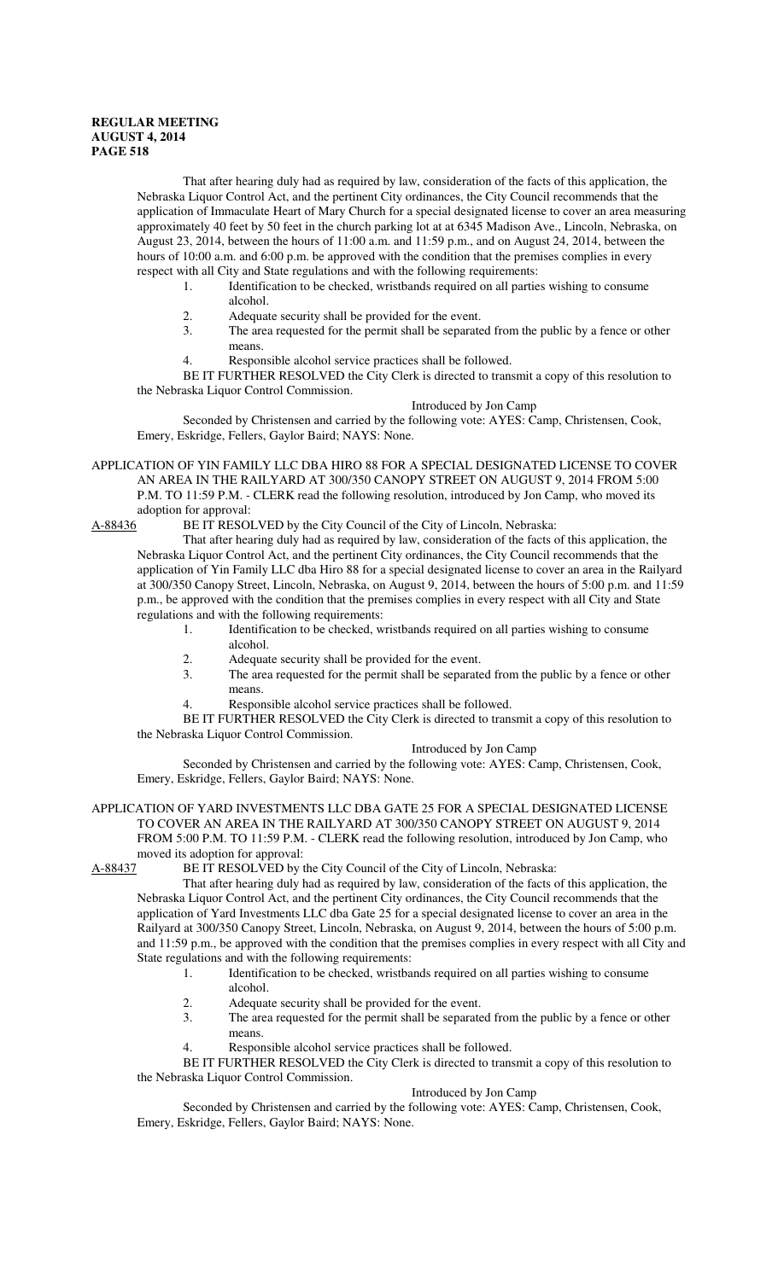That after hearing duly had as required by law, consideration of the facts of this application, the Nebraska Liquor Control Act, and the pertinent City ordinances, the City Council recommends that the application of Immaculate Heart of Mary Church for a special designated license to cover an area measuring approximately 40 feet by 50 feet in the church parking lot at at 6345 Madison Ave., Lincoln, Nebraska, on August 23, 2014, between the hours of 11:00 a.m. and 11:59 p.m., and on August 24, 2014, between the hours of 10:00 a.m. and 6:00 p.m. be approved with the condition that the premises complies in every respect with all City and State regulations and with the following requirements:

- 1. Identification to be checked, wristbands required on all parties wishing to consume alcohol.
- 2. Adequate security shall be provided for the event.<br>3 The area requested for the permit shall be separate
- The area requested for the permit shall be separated from the public by a fence or other means.
- 4. Responsible alcohol service practices shall be followed.

BE IT FURTHER RESOLVED the City Clerk is directed to transmit a copy of this resolution to the Nebraska Liquor Control Commission.

#### Introduced by Jon Camp

Seconded by Christensen and carried by the following vote: AYES: Camp, Christensen, Cook, Emery, Eskridge, Fellers, Gaylor Baird; NAYS: None.

APPLICATION OF YIN FAMILY LLC DBA HIRO 88 FOR A SPECIAL DESIGNATED LICENSE TO COVER AN AREA IN THE RAILYARD AT 300/350 CANOPY STREET ON AUGUST 9, 2014 FROM 5:00 P.M. TO 11:59 P.M. - CLERK read the following resolution, introduced by Jon Camp, who moved its adoption for approval:

A-88436 BE IT RESOLVED by the City Council of the City of Lincoln, Nebraska:

That after hearing duly had as required by law, consideration of the facts of this application, the Nebraska Liquor Control Act, and the pertinent City ordinances, the City Council recommends that the application of Yin Family LLC dba Hiro 88 for a special designated license to cover an area in the Railyard at 300/350 Canopy Street, Lincoln, Nebraska, on August 9, 2014, between the hours of 5:00 p.m. and 11:59 p.m., be approved with the condition that the premises complies in every respect with all City and State regulations and with the following requirements:

- 1. Identification to be checked, wristbands required on all parties wishing to consume alcohol.
	- 2. Adequate security shall be provided for the event.
	- 3. The area requested for the permit shall be separated from the public by a fence or other means.
	- 4. Responsible alcohol service practices shall be followed.

BE IT FURTHER RESOLVED the City Clerk is directed to transmit a copy of this resolution to the Nebraska Liquor Control Commission.

#### Introduced by Jon Camp

Seconded by Christensen and carried by the following vote: AYES: Camp, Christensen, Cook, Emery, Eskridge, Fellers, Gaylor Baird; NAYS: None.

## APPLICATION OF YARD INVESTMENTS LLC DBA GATE 25 FOR A SPECIAL DESIGNATED LICENSE TO COVER AN AREA IN THE RAILYARD AT 300/350 CANOPY STREET ON AUGUST 9, 2014 FROM 5:00 P.M. TO 11:59 P.M. - CLERK read the following resolution, introduced by Jon Camp, who moved its adoption for approval:

A-88437 BE IT RESOLVED by the City Council of the City of Lincoln, Nebraska:

That after hearing duly had as required by law, consideration of the facts of this application, the Nebraska Liquor Control Act, and the pertinent City ordinances, the City Council recommends that the application of Yard Investments LLC dba Gate 25 for a special designated license to cover an area in the Railyard at 300/350 Canopy Street, Lincoln, Nebraska, on August 9, 2014, between the hours of 5:00 p.m. and 11:59 p.m., be approved with the condition that the premises complies in every respect with all City and State regulations and with the following requirements:

- 1. Identification to be checked, wristbands required on all parties wishing to consume
	- alcohol.
- 2. Adequate security shall be provided for the event.<br>3 The area requested for the permit shall be separate
- The area requested for the permit shall be separated from the public by a fence or other means.
- 4. Responsible alcohol service practices shall be followed.

BE IT FURTHER RESOLVED the City Clerk is directed to transmit a copy of this resolution to the Nebraska Liquor Control Commission.

#### Introduced by Jon Camp

Seconded by Christensen and carried by the following vote: AYES: Camp, Christensen, Cook, Emery, Eskridge, Fellers, Gaylor Baird; NAYS: None.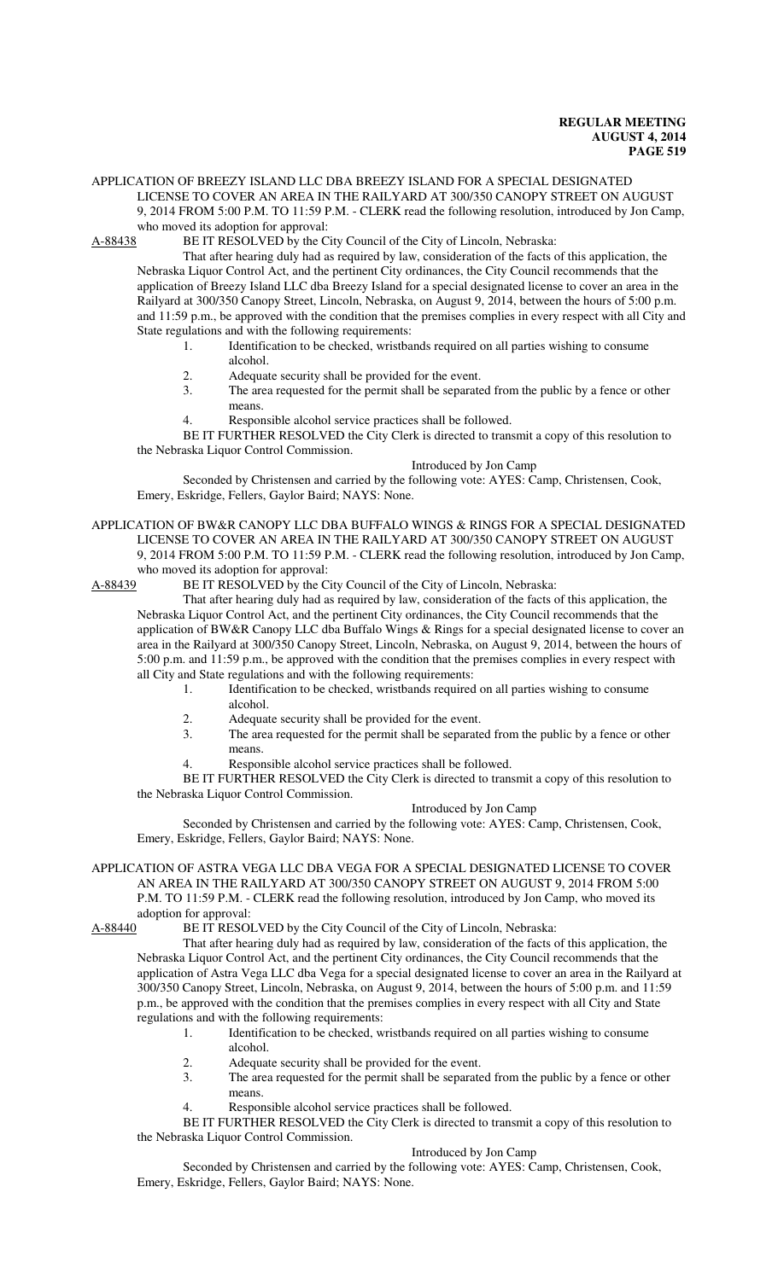## APPLICATION OF BREEZY ISLAND LLC DBA BREEZY ISLAND FOR A SPECIAL DESIGNATED LICENSE TO COVER AN AREA IN THE RAILYARD AT 300/350 CANOPY STREET ON AUGUST 9, 2014 FROM 5:00 P.M. TO 11:59 P.M. - CLERK read the following resolution, introduced by Jon Camp,

who moved its adoption for approval:<br>A-88438 BE IT RESOLVED by the C BE IT RESOLVED by the City Council of the City of Lincoln, Nebraska:

That after hearing duly had as required by law, consideration of the facts of this application, the Nebraska Liquor Control Act, and the pertinent City ordinances, the City Council recommends that the application of Breezy Island LLC dba Breezy Island for a special designated license to cover an area in the Railyard at 300/350 Canopy Street, Lincoln, Nebraska, on August 9, 2014, between the hours of 5:00 p.m. and 11:59 p.m., be approved with the condition that the premises complies in every respect with all City and State regulations and with the following requirements:

- 1. Identification to be checked, wristbands required on all parties wishing to consume alcohol.
- 2. Adequate security shall be provided for the event.
- 3. The area requested for the permit shall be separated from the public by a fence or other means.
- 4. Responsible alcohol service practices shall be followed.

BE IT FURTHER RESOLVED the City Clerk is directed to transmit a copy of this resolution to the Nebraska Liquor Control Commission.

## Introduced by Jon Camp

Seconded by Christensen and carried by the following vote: AYES: Camp, Christensen, Cook, Emery, Eskridge, Fellers, Gaylor Baird; NAYS: None.

## APPLICATION OF BW&R CANOPY LLC DBA BUFFALO WINGS & RINGS FOR A SPECIAL DESIGNATED LICENSE TO COVER AN AREA IN THE RAILYARD AT 300/350 CANOPY STREET ON AUGUST 9, 2014 FROM 5:00 P.M. TO 11:59 P.M. - CLERK read the following resolution, introduced by Jon Camp, who moved its adoption for approval:

A-88439 BE IT RESOLVED by the City Council of the City of Lincoln, Nebraska:

That after hearing duly had as required by law, consideration of the facts of this application, the Nebraska Liquor Control Act, and the pertinent City ordinances, the City Council recommends that the application of BW&R Canopy LLC dba Buffalo Wings & Rings for a special designated license to cover an area in the Railyard at 300/350 Canopy Street, Lincoln, Nebraska, on August 9, 2014, between the hours of 5:00 p.m. and 11:59 p.m., be approved with the condition that the premises complies in every respect with all City and State regulations and with the following requirements:

- 1. Identification to be checked, wristbands required on all parties wishing to consume alcohol.
	- 2. Adequate security shall be provided for the event.<br>3. The area requested for the permit shall be separate
	- The area requested for the permit shall be separated from the public by a fence or other means.
		- Responsible alcohol service practices shall be followed.

BE IT FURTHER RESOLVED the City Clerk is directed to transmit a copy of this resolution to the Nebraska Liquor Control Commission.

#### Introduced by Jon Camp

Seconded by Christensen and carried by the following vote: AYES: Camp, Christensen, Cook, Emery, Eskridge, Fellers, Gaylor Baird; NAYS: None.

## APPLICATION OF ASTRA VEGA LLC DBA VEGA FOR A SPECIAL DESIGNATED LICENSE TO COVER AN AREA IN THE RAILYARD AT 300/350 CANOPY STREET ON AUGUST 9, 2014 FROM 5:00 P.M. TO 11:59 P.M. - CLERK read the following resolution, introduced by Jon Camp, who moved its adoption for approval:

A-88440 BE IT RESOLVED by the City Council of the City of Lincoln, Nebraska:

That after hearing duly had as required by law, consideration of the facts of this application, the Nebraska Liquor Control Act, and the pertinent City ordinances, the City Council recommends that the application of Astra Vega LLC dba Vega for a special designated license to cover an area in the Railyard at 300/350 Canopy Street, Lincoln, Nebraska, on August 9, 2014, between the hours of 5:00 p.m. and 11:59 p.m., be approved with the condition that the premises complies in every respect with all City and State regulations and with the following requirements:

- 1. Identification to be checked, wristbands required on all parties wishing to consume alcohol.
	- 2. Adequate security shall be provided for the event.<br>3. The area requested for the permit shall be separate
	- The area requested for the permit shall be separated from the public by a fence or other means.
	- 4. Responsible alcohol service practices shall be followed.

BE IT FURTHER RESOLVED the City Clerk is directed to transmit a copy of this resolution to the Nebraska Liquor Control Commission.

## Introduced by Jon Camp

Seconded by Christensen and carried by the following vote: AYES: Camp, Christensen, Cook, Emery, Eskridge, Fellers, Gaylor Baird; NAYS: None.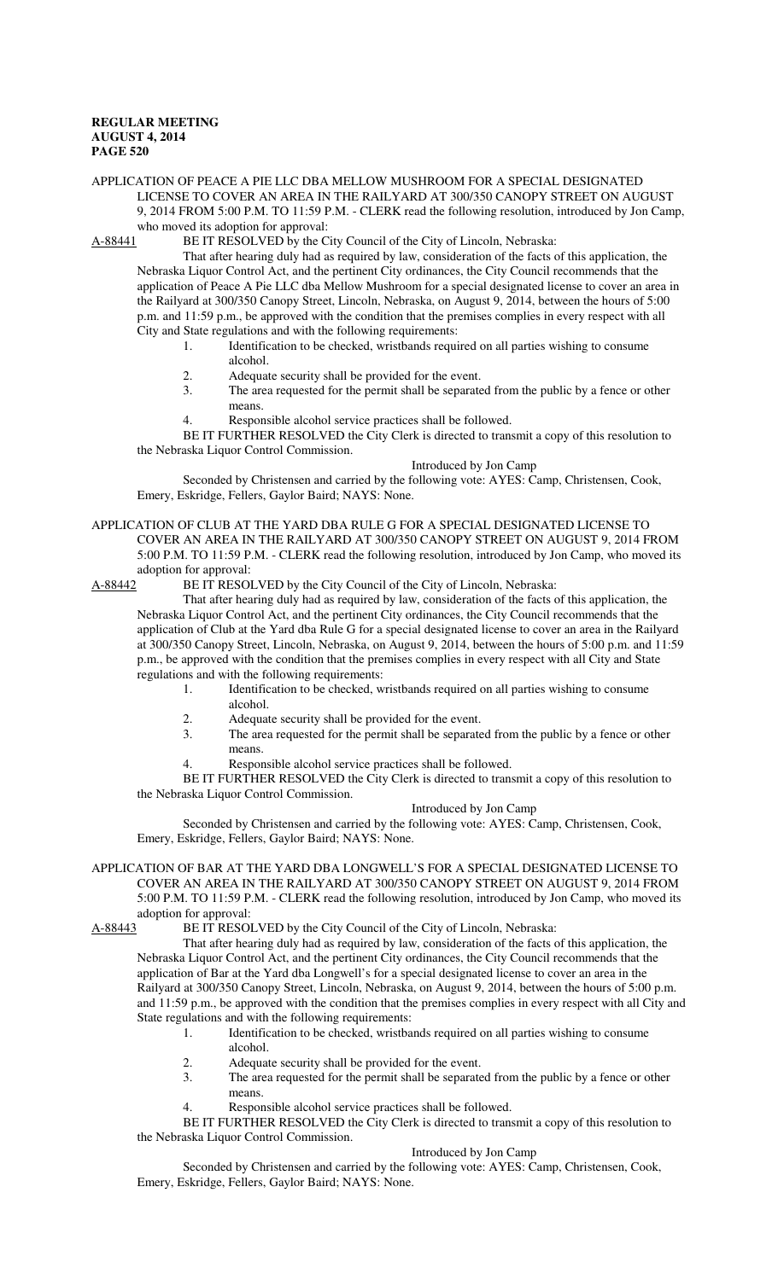# APPLICATION OF PEACE A PIE LLC DBA MELLOW MUSHROOM FOR A SPECIAL DESIGNATED LICENSE TO COVER AN AREA IN THE RAILYARD AT 300/350 CANOPY STREET ON AUGUST 9, 2014 FROM 5:00 P.M. TO 11:59 P.M. - CLERK read the following resolution, introduced by Jon Camp,

who moved its adoption for approval:<br>A-88441 BE IT RESOLVED by the C BE IT RESOLVED by the City Council of the City of Lincoln, Nebraska:

That after hearing duly had as required by law, consideration of the facts of this application, the Nebraska Liquor Control Act, and the pertinent City ordinances, the City Council recommends that the application of Peace A Pie LLC dba Mellow Mushroom for a special designated license to cover an area in the Railyard at 300/350 Canopy Street, Lincoln, Nebraska, on August 9, 2014, between the hours of 5:00 p.m. and 11:59 p.m., be approved with the condition that the premises complies in every respect with all City and State regulations and with the following requirements:

- 1. Identification to be checked, wristbands required on all parties wishing to consume alcohol.
- 2. Adequate security shall be provided for the event.
- 3. The area requested for the permit shall be separated from the public by a fence or other means.
- 4. Responsible alcohol service practices shall be followed.

BE IT FURTHER RESOLVED the City Clerk is directed to transmit a copy of this resolution to the Nebraska Liquor Control Commission.

## Introduced by Jon Camp

Seconded by Christensen and carried by the following vote: AYES: Camp, Christensen, Cook, Emery, Eskridge, Fellers, Gaylor Baird; NAYS: None.

#### APPLICATION OF CLUB AT THE YARD DBA RULE G FOR A SPECIAL DESIGNATED LICENSE TO COVER AN AREA IN THE RAILYARD AT 300/350 CANOPY STREET ON AUGUST 9, 2014 FROM 5:00 P.M. TO 11:59 P.M. - CLERK read the following resolution, introduced by Jon Camp, who moved its adoption for approval:

A-88442 BE IT RESOLVED by the City Council of the City of Lincoln, Nebraska:

That after hearing duly had as required by law, consideration of the facts of this application, the Nebraska Liquor Control Act, and the pertinent City ordinances, the City Council recommends that the application of Club at the Yard dba Rule G for a special designated license to cover an area in the Railyard at 300/350 Canopy Street, Lincoln, Nebraska, on August 9, 2014, between the hours of 5:00 p.m. and 11:59 p.m., be approved with the condition that the premises complies in every respect with all City and State regulations and with the following requirements:

- 1. Identification to be checked, wristbands required on all parties wishing to consume alcohol.
	-
	- 2. Adequate security shall be provided for the event.<br>3. The area requested for the permit shall be separate The area requested for the permit shall be separated from the public by a fence or other means.
		- Responsible alcohol service practices shall be followed.

BE IT FURTHER RESOLVED the City Clerk is directed to transmit a copy of this resolution to the Nebraska Liquor Control Commission.

#### Introduced by Jon Camp

Seconded by Christensen and carried by the following vote: AYES: Camp, Christensen, Cook, Emery, Eskridge, Fellers, Gaylor Baird; NAYS: None.

## APPLICATION OF BAR AT THE YARD DBA LONGWELL'S FOR A SPECIAL DESIGNATED LICENSE TO COVER AN AREA IN THE RAILYARD AT 300/350 CANOPY STREET ON AUGUST 9, 2014 FROM 5:00 P.M. TO 11:59 P.M. - CLERK read the following resolution, introduced by Jon Camp, who moved its adoption for approval:

A-88443 BE IT RESOLVED by the City Council of the City of Lincoln, Nebraska:

That after hearing duly had as required by law, consideration of the facts of this application, the Nebraska Liquor Control Act, and the pertinent City ordinances, the City Council recommends that the application of Bar at the Yard dba Longwell's for a special designated license to cover an area in the Railyard at 300/350 Canopy Street, Lincoln, Nebraska, on August 9, 2014, between the hours of 5:00 p.m. and 11:59 p.m., be approved with the condition that the premises complies in every respect with all City and State regulations and with the following requirements:

- 1. Identification to be checked, wristbands required on all parties wishing to consume alcohol.
	- 2. Adequate security shall be provided for the event.<br>3. The area requested for the permit shall be separate
	- The area requested for the permit shall be separated from the public by a fence or other means.
	- 4. Responsible alcohol service practices shall be followed.

BE IT FURTHER RESOLVED the City Clerk is directed to transmit a copy of this resolution to the Nebraska Liquor Control Commission.

## Introduced by Jon Camp

Seconded by Christensen and carried by the following vote: AYES: Camp, Christensen, Cook, Emery, Eskridge, Fellers, Gaylor Baird; NAYS: None.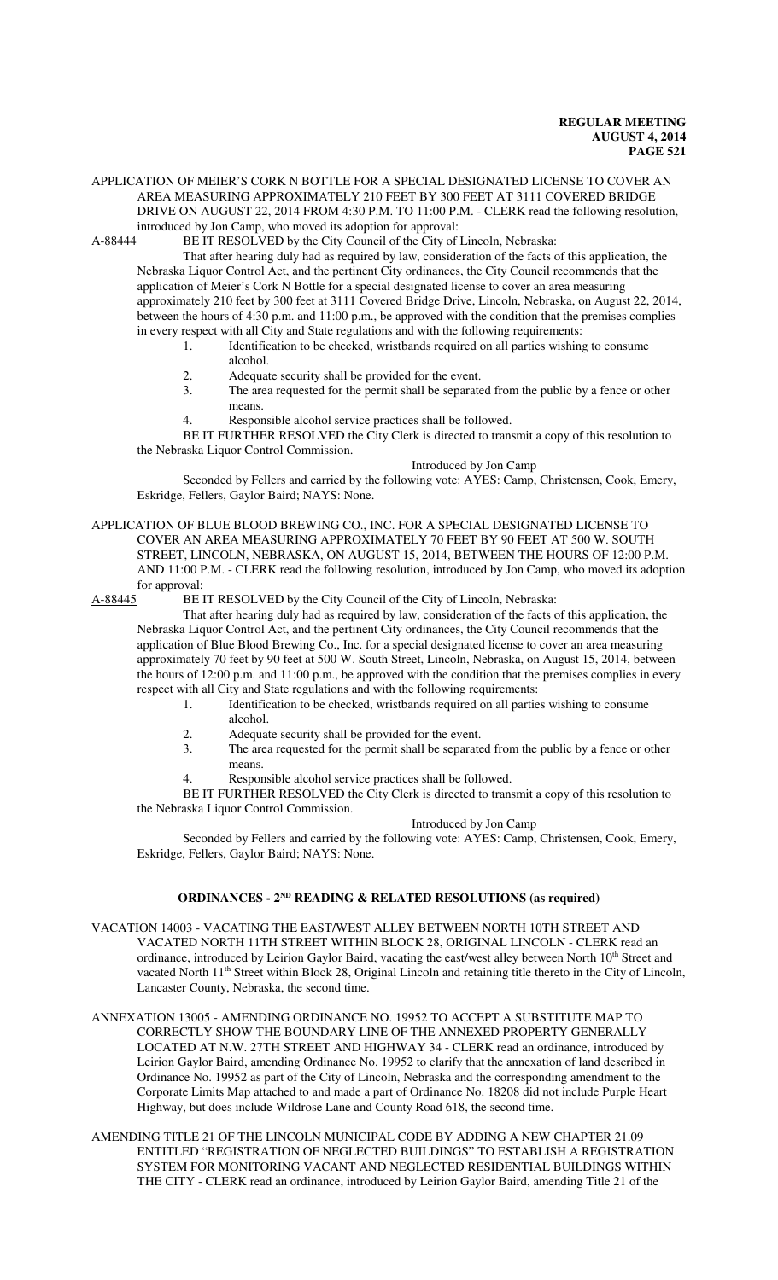## APPLICATION OF MEIER'S CORK N BOTTLE FOR A SPECIAL DESIGNATED LICENSE TO COVER AN AREA MEASURING APPROXIMATELY 210 FEET BY 300 FEET AT 3111 COVERED BRIDGE DRIVE ON AUGUST 22, 2014 FROM 4:30 P.M. TO 11:00 P.M. - CLERK read the following resolution, introduced by Jon Camp, who moved its adoption for approval:

A-88444 BE IT RESOLVED by the City Council of the City of Lincoln, Nebraska:

That after hearing duly had as required by law, consideration of the facts of this application, the Nebraska Liquor Control Act, and the pertinent City ordinances, the City Council recommends that the application of Meier's Cork N Bottle for a special designated license to cover an area measuring approximately 210 feet by 300 feet at 3111 Covered Bridge Drive, Lincoln, Nebraska, on August 22, 2014, between the hours of 4:30 p.m. and 11:00 p.m., be approved with the condition that the premises complies in every respect with all City and State regulations and with the following requirements:

- 1. Identification to be checked, wristbands required on all parties wishing to consume alcohol.
- 2. Adequate security shall be provided for the event.
- 3. The area requested for the permit shall be separated from the public by a fence or other means.
- 4. Responsible alcohol service practices shall be followed.

BE IT FURTHER RESOLVED the City Clerk is directed to transmit a copy of this resolution to the Nebraska Liquor Control Commission.

## Introduced by Jon Camp

Seconded by Fellers and carried by the following vote: AYES: Camp, Christensen, Cook, Emery, Eskridge, Fellers, Gaylor Baird; NAYS: None.

APPLICATION OF BLUE BLOOD BREWING CO., INC. FOR A SPECIAL DESIGNATED LICENSE TO COVER AN AREA MEASURING APPROXIMATELY 70 FEET BY 90 FEET AT 500 W. SOUTH STREET, LINCOLN, NEBRASKA, ON AUGUST 15, 2014, BETWEEN THE HOURS OF 12:00 P.M. AND 11:00 P.M. - CLERK read the following resolution, introduced by Jon Camp, who moved its adoption for approval:<br>A-88445 BE I

BE IT RESOLVED by the City Council of the City of Lincoln, Nebraska:

That after hearing duly had as required by law, consideration of the facts of this application, the Nebraska Liquor Control Act, and the pertinent City ordinances, the City Council recommends that the application of Blue Blood Brewing Co., Inc. for a special designated license to cover an area measuring approximately 70 feet by 90 feet at 500 W. South Street, Lincoln, Nebraska, on August 15, 2014, between the hours of 12:00 p.m. and 11:00 p.m., be approved with the condition that the premises complies in every respect with all City and State regulations and with the following requirements:

- 1. Identification to be checked, wristbands required on all parties wishing to consume alcohol.
- 2. Adequate security shall be provided for the event.<br>3 The area requested for the permit shall be separate
- The area requested for the permit shall be separated from the public by a fence or other means.
- 4. Responsible alcohol service practices shall be followed.

BE IT FURTHER RESOLVED the City Clerk is directed to transmit a copy of this resolution to the Nebraska Liquor Control Commission.

## Introduced by Jon Camp

Seconded by Fellers and carried by the following vote: AYES: Camp, Christensen, Cook, Emery, Eskridge, Fellers, Gaylor Baird; NAYS: None.

## **ORDINANCES - 2ND READING & RELATED RESOLUTIONS (as required)**

- VACATION 14003 VACATING THE EAST/WEST ALLEY BETWEEN NORTH 10TH STREET AND VACATED NORTH 11TH STREET WITHIN BLOCK 28, ORIGINAL LINCOLN - CLERK read an ordinance, introduced by Leirion Gaylor Baird, vacating the east/west alley between North 10<sup>th</sup> Street and vacated North 11<sup>th</sup> Street within Block 28, Original Lincoln and retaining title thereto in the City of Lincoln, Lancaster County, Nebraska, the second time.
- ANNEXATION 13005 AMENDING ORDINANCE NO. 19952 TO ACCEPT A SUBSTITUTE MAP TO CORRECTLY SHOW THE BOUNDARY LINE OF THE ANNEXED PROPERTY GENERALLY LOCATED AT N.W. 27TH STREET AND HIGHWAY 34 - CLERK read an ordinance, introduced by Leirion Gaylor Baird, amending Ordinance No. 19952 to clarify that the annexation of land described in Ordinance No. 19952 as part of the City of Lincoln, Nebraska and the corresponding amendment to the Corporate Limits Map attached to and made a part of Ordinance No. 18208 did not include Purple Heart Highway, but does include Wildrose Lane and County Road 618, the second time.
- AMENDING TITLE 21 OF THE LINCOLN MUNICIPAL CODE BY ADDING A NEW CHAPTER 21.09 ENTITLED "REGISTRATION OF NEGLECTED BUILDINGS" TO ESTABLISH A REGISTRATION SYSTEM FOR MONITORING VACANT AND NEGLECTED RESIDENTIAL BUILDINGS WITHIN THE CITY - CLERK read an ordinance, introduced by Leirion Gaylor Baird, amending Title 21 of the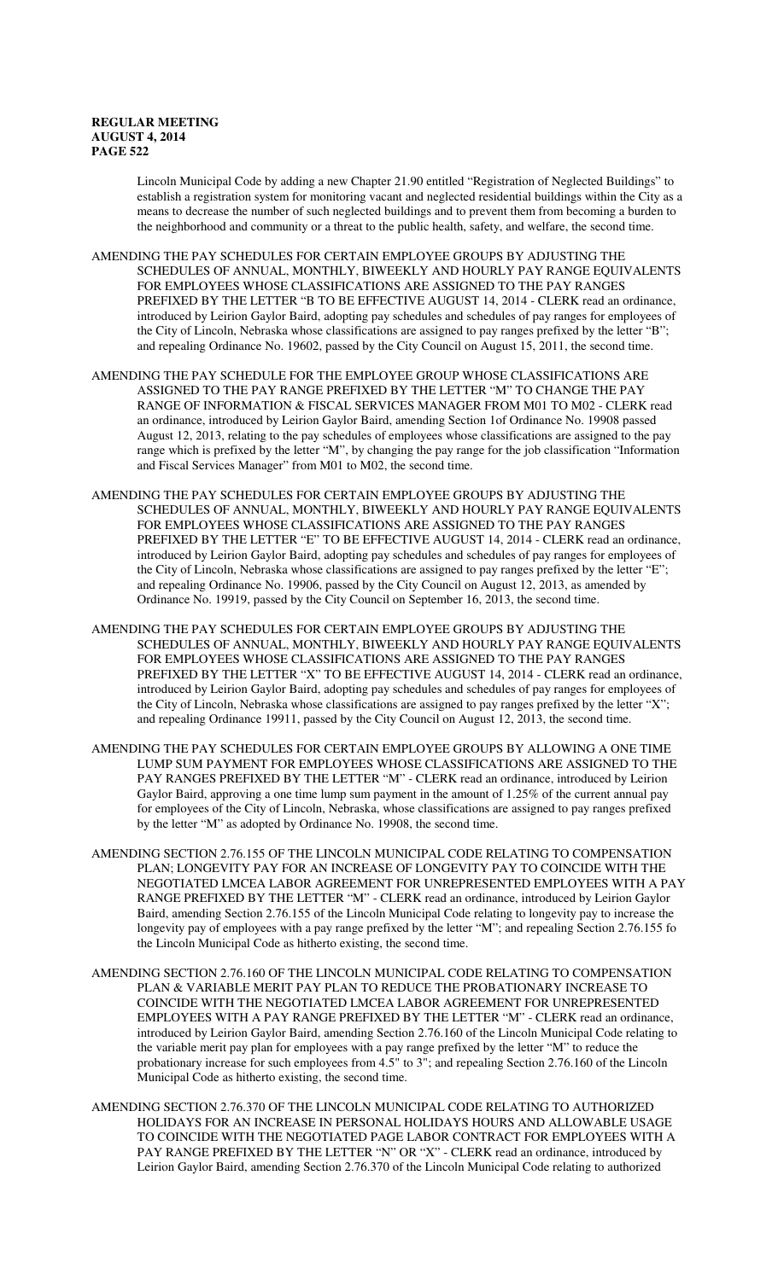Lincoln Municipal Code by adding a new Chapter 21.90 entitled "Registration of Neglected Buildings" to establish a registration system for monitoring vacant and neglected residential buildings within the City as a means to decrease the number of such neglected buildings and to prevent them from becoming a burden to the neighborhood and community or a threat to the public health, safety, and welfare, the second time.

- AMENDING THE PAY SCHEDULES FOR CERTAIN EMPLOYEE GROUPS BY ADJUSTING THE SCHEDULES OF ANNUAL, MONTHLY, BIWEEKLY AND HOURLY PAY RANGE EQUIVALENTS FOR EMPLOYEES WHOSE CLASSIFICATIONS ARE ASSIGNED TO THE PAY RANGES PREFIXED BY THE LETTER "B TO BE EFFECTIVE AUGUST 14, 2014 - CLERK read an ordinance, introduced by Leirion Gaylor Baird, adopting pay schedules and schedules of pay ranges for employees of the City of Lincoln, Nebraska whose classifications are assigned to pay ranges prefixed by the letter "B"; and repealing Ordinance No. 19602, passed by the City Council on August 15, 2011, the second time.
- AMENDING THE PAY SCHEDULE FOR THE EMPLOYEE GROUP WHOSE CLASSIFICATIONS ARE ASSIGNED TO THE PAY RANGE PREFIXED BY THE LETTER "M" TO CHANGE THE PAY RANGE OF INFORMATION & FISCAL SERVICES MANAGER FROM M01 TO M02 - CLERK read an ordinance, introduced by Leirion Gaylor Baird, amending Section 1of Ordinance No. 19908 passed August 12, 2013, relating to the pay schedules of employees whose classifications are assigned to the pay range which is prefixed by the letter "M", by changing the pay range for the job classification "Information and Fiscal Services Manager" from M01 to M02, the second time.
- AMENDING THE PAY SCHEDULES FOR CERTAIN EMPLOYEE GROUPS BY ADJUSTING THE SCHEDULES OF ANNUAL, MONTHLY, BIWEEKLY AND HOURLY PAY RANGE EQUIVALENTS FOR EMPLOYEES WHOSE CLASSIFICATIONS ARE ASSIGNED TO THE PAY RANGES PREFIXED BY THE LETTER "E" TO BE EFFECTIVE AUGUST 14, 2014 - CLERK read an ordinance, introduced by Leirion Gaylor Baird, adopting pay schedules and schedules of pay ranges for employees of the City of Lincoln, Nebraska whose classifications are assigned to pay ranges prefixed by the letter "E"; and repealing Ordinance No. 19906, passed by the City Council on August 12, 2013, as amended by Ordinance No. 19919, passed by the City Council on September 16, 2013, the second time.
- AMENDING THE PAY SCHEDULES FOR CERTAIN EMPLOYEE GROUPS BY ADJUSTING THE SCHEDULES OF ANNUAL, MONTHLY, BIWEEKLY AND HOURLY PAY RANGE EQUIVALENTS FOR EMPLOYEES WHOSE CLASSIFICATIONS ARE ASSIGNED TO THE PAY RANGES PREFIXED BY THE LETTER "X" TO BE EFFECTIVE AUGUST 14, 2014 - CLERK read an ordinance, introduced by Leirion Gaylor Baird, adopting pay schedules and schedules of pay ranges for employees of the City of Lincoln, Nebraska whose classifications are assigned to pay ranges prefixed by the letter "X"; and repealing Ordinance 19911, passed by the City Council on August 12, 2013, the second time.
- AMENDING THE PAY SCHEDULES FOR CERTAIN EMPLOYEE GROUPS BY ALLOWING A ONE TIME LUMP SUM PAYMENT FOR EMPLOYEES WHOSE CLASSIFICATIONS ARE ASSIGNED TO THE PAY RANGES PREFIXED BY THE LETTER "M" - CLERK read an ordinance, introduced by Leirion Gaylor Baird, approving a one time lump sum payment in the amount of 1.25% of the current annual pay for employees of the City of Lincoln, Nebraska, whose classifications are assigned to pay ranges prefixed by the letter "M" as adopted by Ordinance No. 19908, the second time.
- AMENDING SECTION 2.76.155 OF THE LINCOLN MUNICIPAL CODE RELATING TO COMPENSATION PLAN; LONGEVITY PAY FOR AN INCREASE OF LONGEVITY PAY TO COINCIDE WITH THE NEGOTIATED LMCEA LABOR AGREEMENT FOR UNREPRESENTED EMPLOYEES WITH A PAY RANGE PREFIXED BY THE LETTER "M" - CLERK read an ordinance, introduced by Leirion Gaylor Baird, amending Section 2.76.155 of the Lincoln Municipal Code relating to longevity pay to increase the longevity pay of employees with a pay range prefixed by the letter "M"; and repealing Section 2.76.155 fo the Lincoln Municipal Code as hitherto existing, the second time.
- AMENDING SECTION 2.76.160 OF THE LINCOLN MUNICIPAL CODE RELATING TO COMPENSATION PLAN & VARIABLE MERIT PAY PLAN TO REDUCE THE PROBATIONARY INCREASE TO COINCIDE WITH THE NEGOTIATED LMCEA LABOR AGREEMENT FOR UNREPRESENTED EMPLOYEES WITH A PAY RANGE PREFIXED BY THE LETTER "M" - CLERK read an ordinance, introduced by Leirion Gaylor Baird, amending Section 2.76.160 of the Lincoln Municipal Code relating to the variable merit pay plan for employees with a pay range prefixed by the letter "M" to reduce the probationary increase for such employees from 4.5" to 3"; and repealing Section 2.76.160 of the Lincoln Municipal Code as hitherto existing, the second time.
- AMENDING SECTION 2.76.370 OF THE LINCOLN MUNICIPAL CODE RELATING TO AUTHORIZED HOLIDAYS FOR AN INCREASE IN PERSONAL HOLIDAYS HOURS AND ALLOWABLE USAGE TO COINCIDE WITH THE NEGOTIATED PAGE LABOR CONTRACT FOR EMPLOYEES WITH A PAY RANGE PREFIXED BY THE LETTER "N" OR "X" - CLERK read an ordinance, introduced by Leirion Gaylor Baird, amending Section 2.76.370 of the Lincoln Municipal Code relating to authorized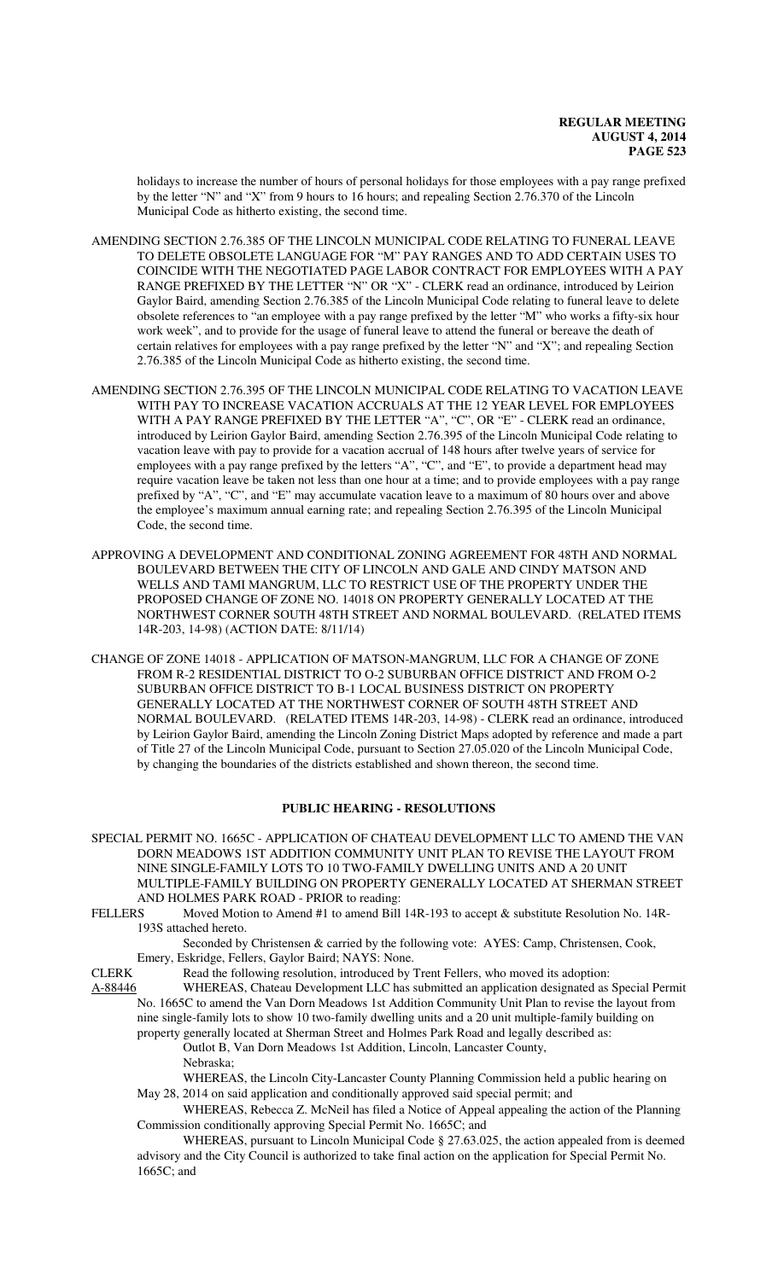holidays to increase the number of hours of personal holidays for those employees with a pay range prefixed by the letter "N" and "X" from 9 hours to 16 hours; and repealing Section 2.76.370 of the Lincoln Municipal Code as hitherto existing, the second time.

- AMENDING SECTION 2.76.385 OF THE LINCOLN MUNICIPAL CODE RELATING TO FUNERAL LEAVE TO DELETE OBSOLETE LANGUAGE FOR "M" PAY RANGES AND TO ADD CERTAIN USES TO COINCIDE WITH THE NEGOTIATED PAGE LABOR CONTRACT FOR EMPLOYEES WITH A PAY RANGE PREFIXED BY THE LETTER "N" OR "X" - CLERK read an ordinance, introduced by Leirion Gaylor Baird, amending Section 2.76.385 of the Lincoln Municipal Code relating to funeral leave to delete obsolete references to "an employee with a pay range prefixed by the letter "M" who works a fifty-six hour work week", and to provide for the usage of funeral leave to attend the funeral or bereave the death of certain relatives for employees with a pay range prefixed by the letter "N" and "X"; and repealing Section 2.76.385 of the Lincoln Municipal Code as hitherto existing, the second time.
- AMENDING SECTION 2.76.395 OF THE LINCOLN MUNICIPAL CODE RELATING TO VACATION LEAVE WITH PAY TO INCREASE VACATION ACCRUALS AT THE 12 YEAR LEVEL FOR EMPLOYEES WITH A PAY RANGE PREFIXED BY THE LETTER "A", "C", OR "E" - CLERK read an ordinance, introduced by Leirion Gaylor Baird, amending Section 2.76.395 of the Lincoln Municipal Code relating to vacation leave with pay to provide for a vacation accrual of 148 hours after twelve years of service for employees with a pay range prefixed by the letters "A", "C", and "E", to provide a department head may require vacation leave be taken not less than one hour at a time; and to provide employees with a pay range prefixed by "A", "C", and "E" may accumulate vacation leave to a maximum of 80 hours over and above the employee's maximum annual earning rate; and repealing Section 2.76.395 of the Lincoln Municipal Code, the second time.
- APPROVING A DEVELOPMENT AND CONDITIONAL ZONING AGREEMENT FOR 48TH AND NORMAL BOULEVARD BETWEEN THE CITY OF LINCOLN AND GALE AND CINDY MATSON AND WELLS AND TAMI MANGRUM, LLC TO RESTRICT USE OF THE PROPERTY UNDER THE PROPOSED CHANGE OF ZONE NO. 14018 ON PROPERTY GENERALLY LOCATED AT THE NORTHWEST CORNER SOUTH 48TH STREET AND NORMAL BOULEVARD. (RELATED ITEMS 14R-203, 14-98) (ACTION DATE: 8/11/14)

CHANGE OF ZONE 14018 - APPLICATION OF MATSON-MANGRUM, LLC FOR A CHANGE OF ZONE FROM R-2 RESIDENTIAL DISTRICT TO O-2 SUBURBAN OFFICE DISTRICT AND FROM O-2 SUBURBAN OFFICE DISTRICT TO B-1 LOCAL BUSINESS DISTRICT ON PROPERTY GENERALLY LOCATED AT THE NORTHWEST CORNER OF SOUTH 48TH STREET AND NORMAL BOULEVARD. (RELATED ITEMS 14R-203, 14-98) - CLERK read an ordinance, introduced by Leirion Gaylor Baird, amending the Lincoln Zoning District Maps adopted by reference and made a part of Title 27 of the Lincoln Municipal Code, pursuant to Section 27.05.020 of the Lincoln Municipal Code, by changing the boundaries of the districts established and shown thereon, the second time.

## **PUBLIC HEARING - RESOLUTIONS**

- SPECIAL PERMIT NO. 1665C APPLICATION OF CHATEAU DEVELOPMENT LLC TO AMEND THE VAN DORN MEADOWS 1ST ADDITION COMMUNITY UNIT PLAN TO REVISE THE LAYOUT FROM NINE SINGLE-FAMILY LOTS TO 10 TWO-FAMILY DWELLING UNITS AND A 20 UNIT MULTIPLE-FAMILY BUILDING ON PROPERTY GENERALLY LOCATED AT SHERMAN STREET AND HOLMES PARK ROAD - PRIOR to reading:
- FELLERS Moved Motion to Amend #1 to amend Bill 14R-193 to accept & substitute Resolution No. 14R-193S attached hereto.

Seconded by Christensen & carried by the following vote: AYES: Camp, Christensen, Cook, Emery, Eskridge, Fellers, Gaylor Baird; NAYS: None.

CLERK Read the following resolution, introduced by Trent Fellers, who moved its adoption:

A-88446 WHEREAS, Chateau Development LLC has submitted an application designated as Special Permit No. 1665C to amend the Van Dorn Meadows 1st Addition Community Unit Plan to revise the layout from nine single-family lots to show 10 two-family dwelling units and a 20 unit multiple-family building on property generally located at Sherman Street and Holmes Park Road and legally described as: Outlot B, Van Dorn Meadows 1st Addition, Lincoln, Lancaster County, Nebraska;

WHEREAS, the Lincoln City-Lancaster County Planning Commission held a public hearing on May 28, 2014 on said application and conditionally approved said special permit; and

- WHEREAS, Rebecca Z. McNeil has filed a Notice of Appeal appealing the action of the Planning Commission conditionally approving Special Permit No. 1665C; and
- WHEREAS, pursuant to Lincoln Municipal Code § 27.63.025, the action appealed from is deemed advisory and the City Council is authorized to take final action on the application for Special Permit No. 1665C; and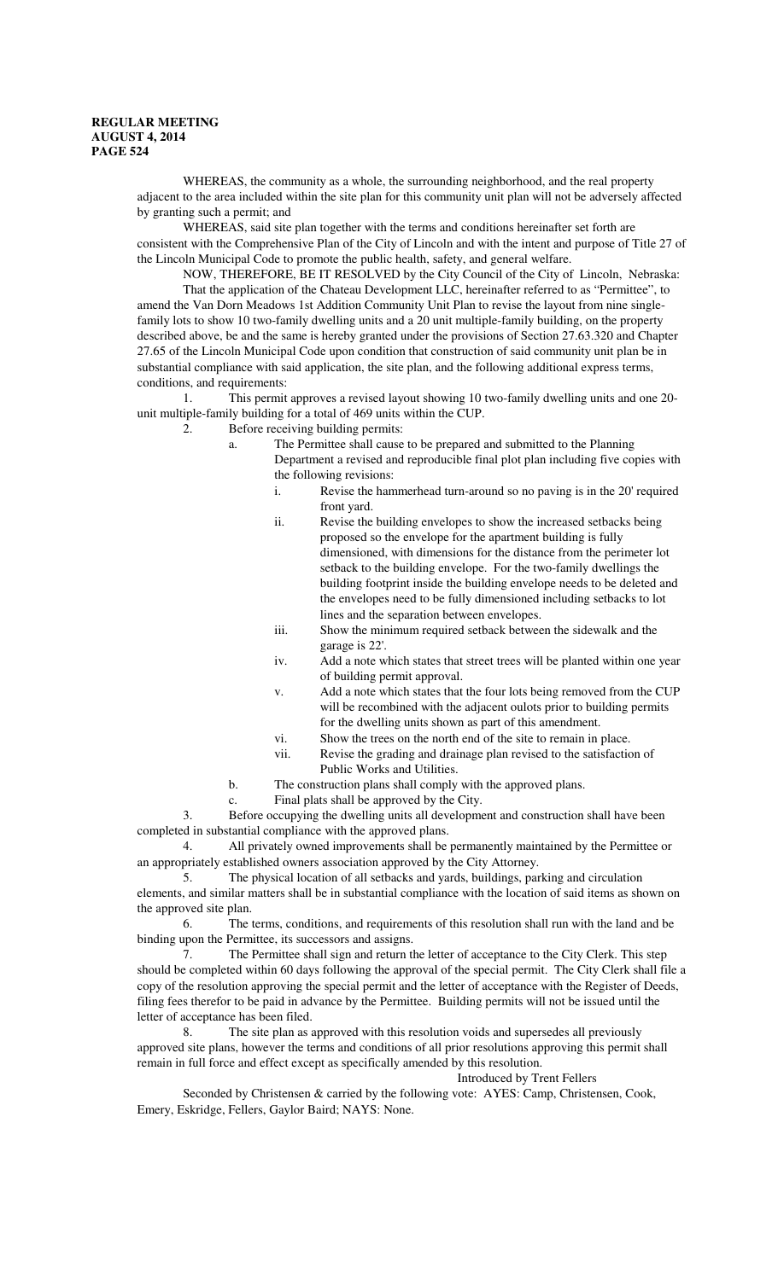WHEREAS, the community as a whole, the surrounding neighborhood, and the real property adjacent to the area included within the site plan for this community unit plan will not be adversely affected by granting such a permit; and

WHEREAS, said site plan together with the terms and conditions hereinafter set forth are consistent with the Comprehensive Plan of the City of Lincoln and with the intent and purpose of Title 27 of the Lincoln Municipal Code to promote the public health, safety, and general welfare.

NOW, THEREFORE, BE IT RESOLVED by the City Council of the City of Lincoln, Nebraska: That the application of the Chateau Development LLC, hereinafter referred to as "Permittee", to amend the Van Dorn Meadows 1st Addition Community Unit Plan to revise the layout from nine singlefamily lots to show 10 two-family dwelling units and a 20 unit multiple-family building, on the property described above, be and the same is hereby granted under the provisions of Section 27.63.320 and Chapter 27.65 of the Lincoln Municipal Code upon condition that construction of said community unit plan be in substantial compliance with said application, the site plan, and the following additional express terms, conditions, and requirements:

1. This permit approves a revised layout showing 10 two-family dwelling units and one 20 unit multiple-family building for a total of 469 units within the CUP.

- 2. Before receiving building permits:
	- a. The Permittee shall cause to be prepared and submitted to the Planning Department a revised and reproducible final plot plan including five copies with
		- the following revisions:
			- i. Revise the hammerhead turn-around so no paving is in the 20' required front yard.
			- ii. Revise the building envelopes to show the increased setbacks being proposed so the envelope for the apartment building is fully dimensioned, with dimensions for the distance from the perimeter lot setback to the building envelope. For the two-family dwellings the building footprint inside the building envelope needs to be deleted and the envelopes need to be fully dimensioned including setbacks to lot lines and the separation between envelopes.
			- iii. Show the minimum required setback between the sidewalk and the garage is 22'.
			- iv. Add a note which states that street trees will be planted within one year of building permit approval.
			- v. Add a note which states that the four lots being removed from the CUP will be recombined with the adjacent oulots prior to building permits for the dwelling units shown as part of this amendment.
			- vi. Show the trees on the north end of the site to remain in place.
		- vii. Revise the grading and drainage plan revised to the satisfaction of Public Works and Utilities.
	- b. The construction plans shall comply with the approved plans.
	- c. Final plats shall be approved by the City.

3. Before occupying the dwelling units all development and construction shall have been completed in substantial compliance with the approved plans.

4. All privately owned improvements shall be permanently maintained by the Permittee or an appropriately established owners association approved by the City Attorney.

5. The physical location of all setbacks and yards, buildings, parking and circulation elements, and similar matters shall be in substantial compliance with the location of said items as shown on the approved site plan.

6. The terms, conditions, and requirements of this resolution shall run with the land and be binding upon the Permittee, its successors and assigns.

7. The Permittee shall sign and return the letter of acceptance to the City Clerk. This step should be completed within 60 days following the approval of the special permit. The City Clerk shall file a copy of the resolution approving the special permit and the letter of acceptance with the Register of Deeds, filing fees therefor to be paid in advance by the Permittee. Building permits will not be issued until the letter of acceptance has been filed.

8. The site plan as approved with this resolution voids and supersedes all previously approved site plans, however the terms and conditions of all prior resolutions approving this permit shall remain in full force and effect except as specifically amended by this resolution.

Introduced by Trent Fellers

Seconded by Christensen & carried by the following vote: AYES: Camp, Christensen, Cook, Emery, Eskridge, Fellers, Gaylor Baird; NAYS: None.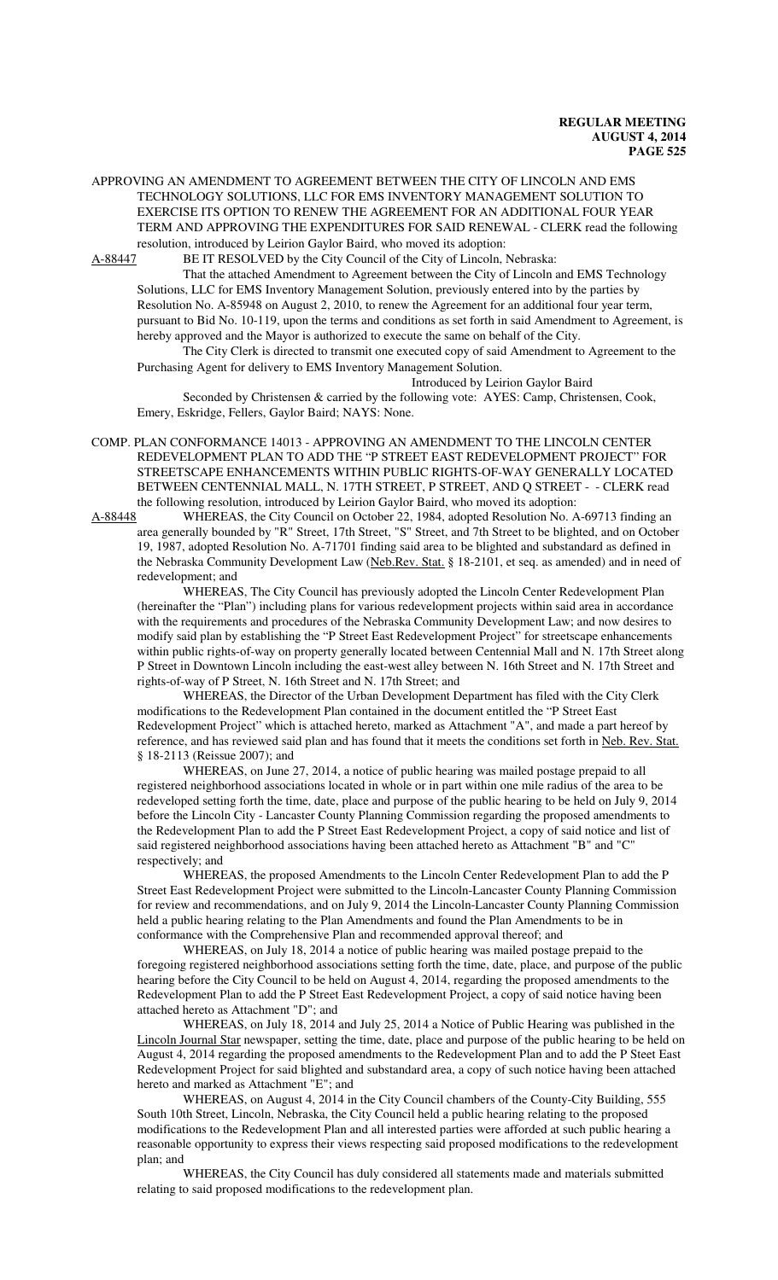APPROVING AN AMENDMENT TO AGREEMENT BETWEEN THE CITY OF LINCOLN AND EMS TECHNOLOGY SOLUTIONS, LLC FOR EMS INVENTORY MANAGEMENT SOLUTION TO EXERCISE ITS OPTION TO RENEW THE AGREEMENT FOR AN ADDITIONAL FOUR YEAR TERM AND APPROVING THE EXPENDITURES FOR SAID RENEWAL - CLERK read the following resolution, introduced by Leirion Gaylor Baird, who moved its adoption:

A-88447 BE IT RESOLVED by the City Council of the City of Lincoln, Nebraska:

That the attached Amendment to Agreement between the City of Lincoln and EMS Technology Solutions, LLC for EMS Inventory Management Solution, previously entered into by the parties by Resolution No. A-85948 on August 2, 2010, to renew the Agreement for an additional four year term, pursuant to Bid No. 10-119, upon the terms and conditions as set forth in said Amendment to Agreement, is hereby approved and the Mayor is authorized to execute the same on behalf of the City.

The City Clerk is directed to transmit one executed copy of said Amendment to Agreement to the Purchasing Agent for delivery to EMS Inventory Management Solution.

Introduced by Leirion Gaylor Baird

Seconded by Christensen & carried by the following vote: AYES: Camp, Christensen, Cook, Emery, Eskridge, Fellers, Gaylor Baird; NAYS: None.

COMP. PLAN CONFORMANCE 14013 - APPROVING AN AMENDMENT TO THE LINCOLN CENTER REDEVELOPMENT PLAN TO ADD THE "P STREET EAST REDEVELOPMENT PROJECT" FOR STREETSCAPE ENHANCEMENTS WITHIN PUBLIC RIGHTS-OF-WAY GENERALLY LOCATED BETWEEN CENTENNIAL MALL, N. 17TH STREET, P STREET, AND Q STREET - - CLERK read the following resolution, introduced by Leirion Gaylor Baird, who moved its adoption:

A-88448 WHEREAS, the City Council on October 22, 1984, adopted Resolution No. A-69713 finding an area generally bounded by "R" Street, 17th Street, "S" Street, and 7th Street to be blighted, and on October 19, 1987, adopted Resolution No. A-71701 finding said area to be blighted and substandard as defined in the Nebraska Community Development Law (Neb.Rev. Stat. § 18-2101, et seq. as amended) and in need of redevelopment; and

WHEREAS, The City Council has previously adopted the Lincoln Center Redevelopment Plan (hereinafter the "Plan") including plans for various redevelopment projects within said area in accordance with the requirements and procedures of the Nebraska Community Development Law; and now desires to modify said plan by establishing the "P Street East Redevelopment Project" for streetscape enhancements within public rights-of-way on property generally located between Centennial Mall and N. 17th Street along P Street in Downtown Lincoln including the east-west alley between N. 16th Street and N. 17th Street and rights-of-way of P Street, N. 16th Street and N. 17th Street; and

WHEREAS, the Director of the Urban Development Department has filed with the City Clerk modifications to the Redevelopment Plan contained in the document entitled the "P Street East Redevelopment Project" which is attached hereto, marked as Attachment "A", and made a part hereof by reference, and has reviewed said plan and has found that it meets the conditions set forth in Neb. Rev. Stat. § 18-2113 (Reissue 2007); and

WHEREAS, on June 27, 2014, a notice of public hearing was mailed postage prepaid to all registered neighborhood associations located in whole or in part within one mile radius of the area to be redeveloped setting forth the time, date, place and purpose of the public hearing to be held on July 9, 2014 before the Lincoln City - Lancaster County Planning Commission regarding the proposed amendments to the Redevelopment Plan to add the P Street East Redevelopment Project, a copy of said notice and list of said registered neighborhood associations having been attached hereto as Attachment "B" and "C" respectively; and

WHEREAS, the proposed Amendments to the Lincoln Center Redevelopment Plan to add the P Street East Redevelopment Project were submitted to the Lincoln-Lancaster County Planning Commission for review and recommendations, and on July 9, 2014 the Lincoln-Lancaster County Planning Commission held a public hearing relating to the Plan Amendments and found the Plan Amendments to be in conformance with the Comprehensive Plan and recommended approval thereof; and

WHEREAS, on July 18, 2014 a notice of public hearing was mailed postage prepaid to the foregoing registered neighborhood associations setting forth the time, date, place, and purpose of the public hearing before the City Council to be held on August 4, 2014, regarding the proposed amendments to the Redevelopment Plan to add the P Street East Redevelopment Project, a copy of said notice having been attached hereto as Attachment "D"; and

WHEREAS, on July 18, 2014 and July 25, 2014 a Notice of Public Hearing was published in the Lincoln Journal Star newspaper, setting the time, date, place and purpose of the public hearing to be held on August 4, 2014 regarding the proposed amendments to the Redevelopment Plan and to add the P Steet East Redevelopment Project for said blighted and substandard area, a copy of such notice having been attached hereto and marked as Attachment "E"; and

WHEREAS, on August 4, 2014 in the City Council chambers of the County-City Building, 555 South 10th Street, Lincoln, Nebraska, the City Council held a public hearing relating to the proposed modifications to the Redevelopment Plan and all interested parties were afforded at such public hearing a reasonable opportunity to express their views respecting said proposed modifications to the redevelopment plan; and

WHEREAS, the City Council has duly considered all statements made and materials submitted relating to said proposed modifications to the redevelopment plan.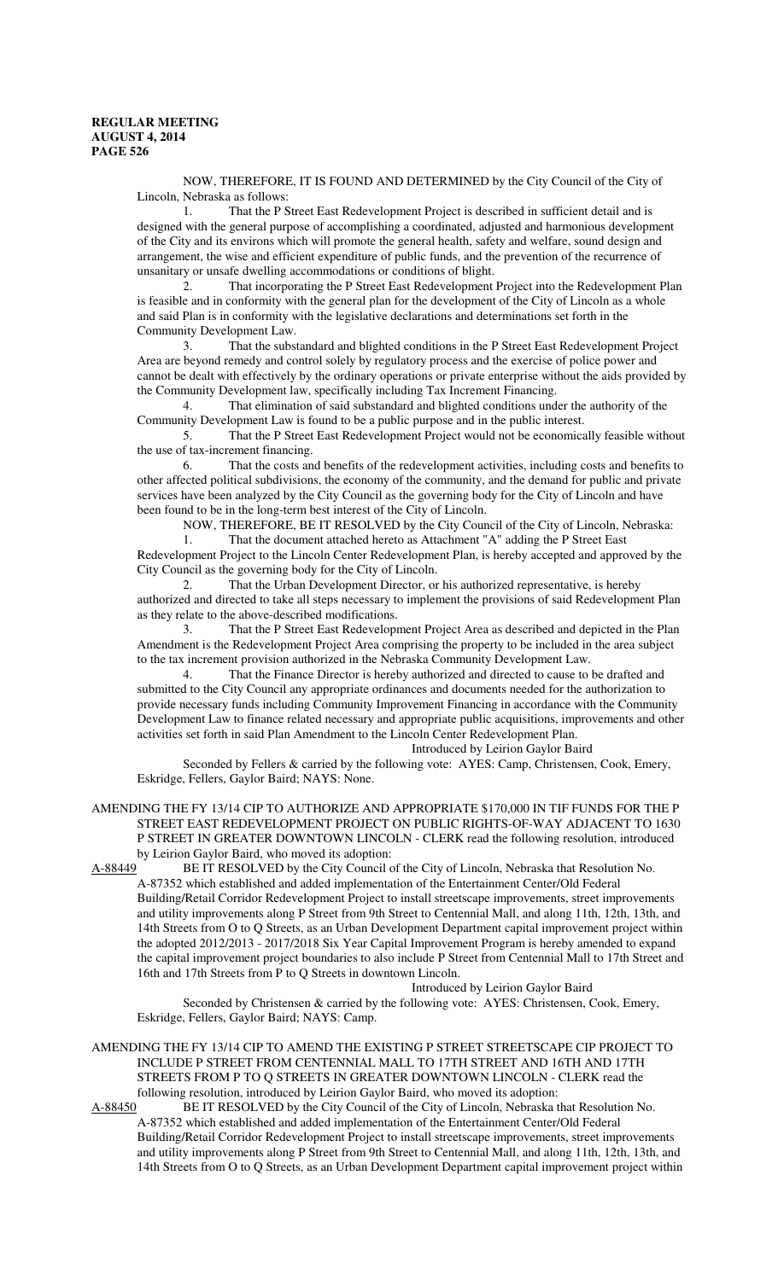NOW, THEREFORE, IT IS FOUND AND DETERMINED by the City Council of the City of Lincoln, Nebraska as follows:

1. That the P Street East Redevelopment Project is described in sufficient detail and is designed with the general purpose of accomplishing a coordinated, adjusted and harmonious development of the City and its environs which will promote the general health, safety and welfare, sound design and arrangement, the wise and efficient expenditure of public funds, and the prevention of the recurrence of unsanitary or unsafe dwelling accommodations or conditions of blight.

2. That incorporating the P Street East Redevelopment Project into the Redevelopment Plan is feasible and in conformity with the general plan for the development of the City of Lincoln as a whole and said Plan is in conformity with the legislative declarations and determinations set forth in the Community Development Law.

3. That the substandard and blighted conditions in the P Street East Redevelopment Project Area are beyond remedy and control solely by regulatory process and the exercise of police power and cannot be dealt with effectively by the ordinary operations or private enterprise without the aids provided by the Community Development law, specifically including Tax Increment Financing.

4. That elimination of said substandard and blighted conditions under the authority of the Community Development Law is found to be a public purpose and in the public interest.

5. That the P Street East Redevelopment Project would not be economically feasible without the use of tax-increment financing.

6. That the costs and benefits of the redevelopment activities, including costs and benefits to other affected political subdivisions, the economy of the community, and the demand for public and private services have been analyzed by the City Council as the governing body for the City of Lincoln and have been found to be in the long-term best interest of the City of Lincoln.

NOW, THEREFORE, BE IT RESOLVED by the City Council of the City of Lincoln, Nebraska: 1. That the document attached hereto as Attachment "A" adding the P Street East

Redevelopment Project to the Lincoln Center Redevelopment Plan, is hereby accepted and approved by the City Council as the governing body for the City of Lincoln.

2. That the Urban Development Director, or his authorized representative, is hereby authorized and directed to take all steps necessary to implement the provisions of said Redevelopment Plan as they relate to the above-described modifications.

3. That the P Street East Redevelopment Project Area as described and depicted in the Plan Amendment is the Redevelopment Project Area comprising the property to be included in the area subject to the tax increment provision authorized in the Nebraska Community Development Law.

4. That the Finance Director is hereby authorized and directed to cause to be drafted and submitted to the City Council any appropriate ordinances and documents needed for the authorization to provide necessary funds including Community Improvement Financing in accordance with the Community Development Law to finance related necessary and appropriate public acquisitions, improvements and other activities set forth in said Plan Amendment to the Lincoln Center Redevelopment Plan.

Introduced by Leirion Gaylor Baird

Seconded by Fellers & carried by the following vote: AYES: Camp, Christensen, Cook, Emery, Eskridge, Fellers, Gaylor Baird; NAYS: None.

# AMENDING THE FY 13/14 CIP TO AUTHORIZE AND APPROPRIATE \$170,000 IN TIF FUNDS FOR THE P STREET EAST REDEVELOPMENT PROJECT ON PUBLIC RIGHTS-OF-WAY ADJACENT TO 1630 P STREET IN GREATER DOWNTOWN LINCOLN - CLERK read the following resolution, introduced by Leirion Gaylor Baird, who moved its adoption:<br>A-88449 BE IT RESOLVED by the City Council of

BE IT RESOLVED by the City Council of the City of Lincoln, Nebraska that Resolution No. A-87352 which established and added implementation of the Entertainment Center/Old Federal Building/Retail Corridor Redevelopment Project to install streetscape improvements, street improvements and utility improvements along P Street from 9th Street to Centennial Mall, and along 11th, 12th, 13th, and 14th Streets from O to Q Streets, as an Urban Development Department capital improvement project within the adopted 2012/2013 - 2017/2018 Six Year Capital Improvement Program is hereby amended to expand the capital improvement project boundaries to also include P Street from Centennial Mall to 17th Street and 16th and 17th Streets from P to Q Streets in downtown Lincoln.

Introduced by Leirion Gaylor Baird Seconded by Christensen & carried by the following vote: AYES: Christensen, Cook, Emery, Eskridge, Fellers, Gaylor Baird; NAYS: Camp.

AMENDING THE FY 13/14 CIP TO AMEND THE EXISTING P STREET STREETSCAPE CIP PROJECT TO INCLUDE P STREET FROM CENTENNIAL MALL TO 17TH STREET AND 16TH AND 17TH STREETS FROM P TO Q STREETS IN GREATER DOWNTOWN LINCOLN - CLERK read the following resolution, introduced by Leirion Gaylor Baird, who moved its adoption:

A-88450 BE IT RESOLVED by the City Council of the City of Lincoln, Nebraska that Resolution No. A-87352 which established and added implementation of the Entertainment Center/Old Federal Building/Retail Corridor Redevelopment Project to install streetscape improvements, street improvements and utility improvements along P Street from 9th Street to Centennial Mall, and along 11th, 12th, 13th, and 14th Streets from O to Q Streets, as an Urban Development Department capital improvement project within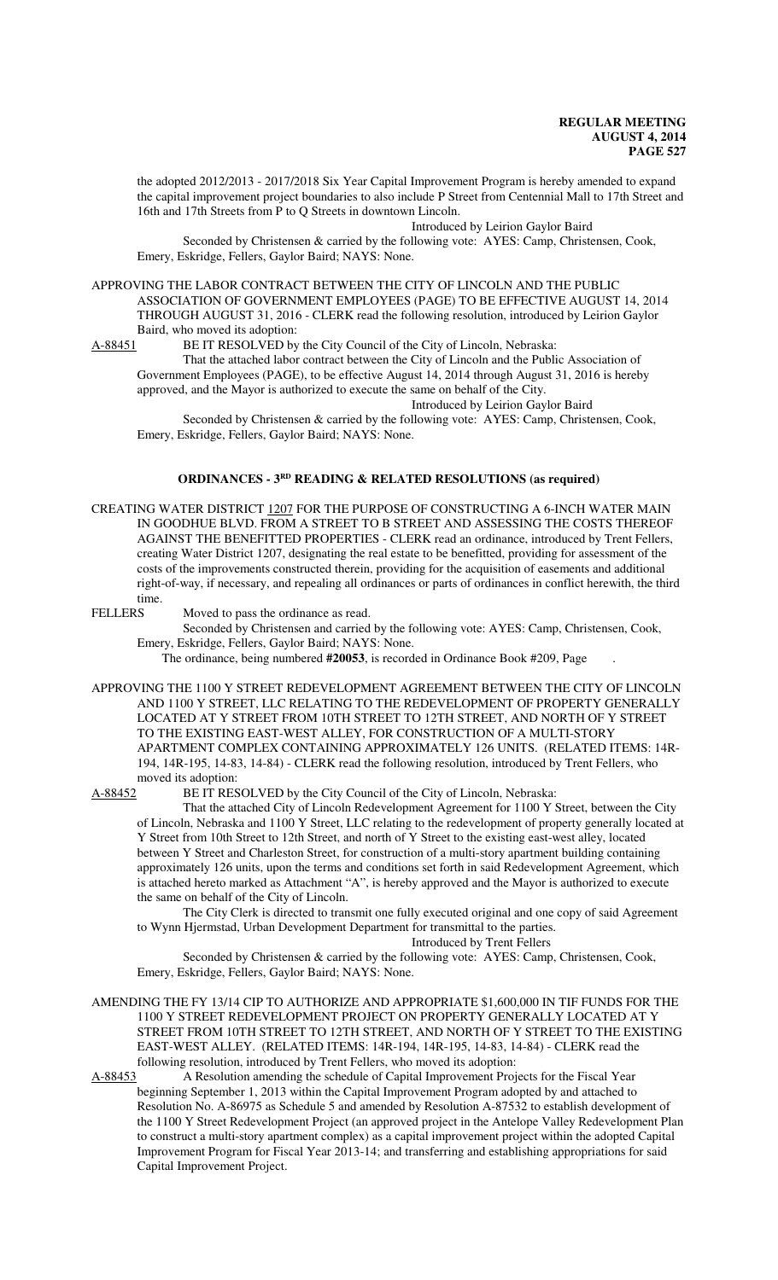the adopted 2012/2013 - 2017/2018 Six Year Capital Improvement Program is hereby amended to expand the capital improvement project boundaries to also include P Street from Centennial Mall to 17th Street and 16th and 17th Streets from P to Q Streets in downtown Lincoln.

Introduced by Leirion Gaylor Baird

Seconded by Christensen & carried by the following vote: AYES: Camp, Christensen, Cook, Emery, Eskridge, Fellers, Gaylor Baird; NAYS: None.

APPROVING THE LABOR CONTRACT BETWEEN THE CITY OF LINCOLN AND THE PUBLIC ASSOCIATION OF GOVERNMENT EMPLOYEES (PAGE) TO BE EFFECTIVE AUGUST 14, 2014 THROUGH AUGUST 31, 2016 - CLERK read the following resolution, introduced by Leirion Gaylor Baird, who moved its adoption:

A-88451 BE IT RESOLVED by the City Council of the City of Lincoln, Nebraska:

That the attached labor contract between the City of Lincoln and the Public Association of Government Employees (PAGE), to be effective August 14, 2014 through August 31, 2016 is hereby approved, and the Mayor is authorized to execute the same on behalf of the City.

Introduced by Leirion Gaylor Baird

Seconded by Christensen & carried by the following vote: AYES: Camp, Christensen, Cook, Emery, Eskridge, Fellers, Gaylor Baird; NAYS: None.

## **ORDINANCES - 3<sup>RD</sup>** READING & RELATED RESOLUTIONS (as required)

CREATING WATER DISTRICT 1207 FOR THE PURPOSE OF CONSTRUCTING A 6-INCH WATER MAIN IN GOODHUE BLVD. FROM A STREET TO B STREET AND ASSESSING THE COSTS THEREOF AGAINST THE BENEFITTED PROPERTIES - CLERK read an ordinance, introduced by Trent Fellers, creating Water District 1207, designating the real estate to be benefitted, providing for assessment of the costs of the improvements constructed therein, providing for the acquisition of easements and additional right-of-way, if necessary, and repealing all ordinances or parts of ordinances in conflict herewith, the third time.

FELLERS Moved to pass the ordinance as read.

Seconded by Christensen and carried by the following vote: AYES: Camp, Christensen, Cook, Emery, Eskridge, Fellers, Gaylor Baird; NAYS: None.

The ordinance, being numbered **#20053**, is recorded in Ordinance Book #209, Page .

APPROVING THE 1100 Y STREET REDEVELOPMENT AGREEMENT BETWEEN THE CITY OF LINCOLN AND 1100 Y STREET, LLC RELATING TO THE REDEVELOPMENT OF PROPERTY GENERALLY LOCATED AT Y STREET FROM 10TH STREET TO 12TH STREET, AND NORTH OF Y STREET TO THE EXISTING EAST-WEST ALLEY, FOR CONSTRUCTION OF A MULTI-STORY APARTMENT COMPLEX CONTAINING APPROXIMATELY 126 UNITS. (RELATED ITEMS: 14R-194, 14R-195, 14-83, 14-84) - CLERK read the following resolution, introduced by Trent Fellers, who moved its adoption:

A-88452 BE IT RESOLVED by the City Council of the City of Lincoln, Nebraska:

That the attached City of Lincoln Redevelopment Agreement for 1100 Y Street, between the City of Lincoln, Nebraska and 1100 Y Street, LLC relating to the redevelopment of property generally located at Y Street from 10th Street to 12th Street, and north of Y Street to the existing east-west alley, located between Y Street and Charleston Street, for construction of a multi-story apartment building containing approximately 126 units, upon the terms and conditions set forth in said Redevelopment Agreement, which is attached hereto marked as Attachment "A", is hereby approved and the Mayor is authorized to execute the same on behalf of the City of Lincoln.

The City Clerk is directed to transmit one fully executed original and one copy of said Agreement to Wynn Hjermstad, Urban Development Department for transmittal to the parties.

Introduced by Trent Fellers

Seconded by Christensen & carried by the following vote: AYES: Camp, Christensen, Cook, Emery, Eskridge, Fellers, Gaylor Baird; NAYS: None.

AMENDING THE FY 13/14 CIP TO AUTHORIZE AND APPROPRIATE \$1,600,000 IN TIF FUNDS FOR THE 1100 Y STREET REDEVELOPMENT PROJECT ON PROPERTY GENERALLY LOCATED AT Y STREET FROM 10TH STREET TO 12TH STREET, AND NORTH OF Y STREET TO THE EXISTING EAST-WEST ALLEY. (RELATED ITEMS: 14R-194, 14R-195, 14-83, 14-84) - CLERK read the following resolution, introduced by Trent Fellers, who moved its adoption:<br>A-88453 A Resolution amending the schedule of Capital Improvement Proj

A Resolution amending the schedule of Capital Improvement Projects for the Fiscal Year beginning September 1, 2013 within the Capital Improvement Program adopted by and attached to Resolution No. A-86975 as Schedule 5 and amended by Resolution A-87532 to establish development of the 1100 Y Street Redevelopment Project (an approved project in the Antelope Valley Redevelopment Plan to construct a multi-story apartment complex) as a capital improvement project within the adopted Capital Improvement Program for Fiscal Year 2013-14; and transferring and establishing appropriations for said Capital Improvement Project.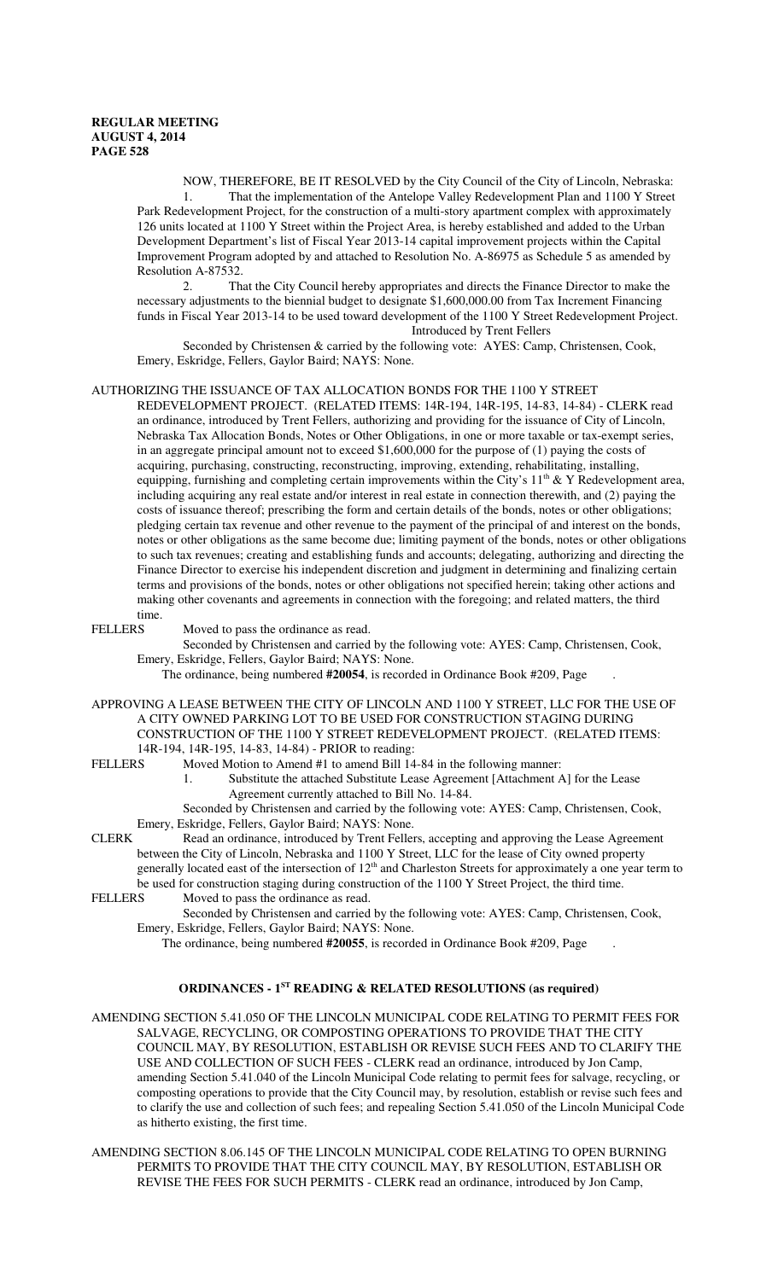NOW, THEREFORE, BE IT RESOLVED by the City Council of the City of Lincoln, Nebraska: 1. That the implementation of the Antelope Valley Redevelopment Plan and 1100 Y Street Park Redevelopment Project, for the construction of a multi-story apartment complex with approximately 126 units located at 1100 Y Street within the Project Area, is hereby established and added to the Urban Development Department's list of Fiscal Year 2013-14 capital improvement projects within the Capital Improvement Program adopted by and attached to Resolution No. A-86975 as Schedule 5 as amended by Resolution A-87532.

2. That the City Council hereby appropriates and directs the Finance Director to make the necessary adjustments to the biennial budget to designate \$1,600,000.00 from Tax Increment Financing funds in Fiscal Year 2013-14 to be used toward development of the 1100 Y Street Redevelopment Project. Introduced by Trent Fellers

Seconded by Christensen & carried by the following vote: AYES: Camp, Christensen, Cook, Emery, Eskridge, Fellers, Gaylor Baird; NAYS: None.

## AUTHORIZING THE ISSUANCE OF TAX ALLOCATION BONDS FOR THE 1100 Y STREET

 REDEVELOPMENT PROJECT. (RELATED ITEMS: 14R-194, 14R-195, 14-83, 14-84) - CLERK read an ordinance, introduced by Trent Fellers, authorizing and providing for the issuance of City of Lincoln, Nebraska Tax Allocation Bonds, Notes or Other Obligations, in one or more taxable or tax-exempt series, in an aggregate principal amount not to exceed \$1,600,000 for the purpose of (1) paying the costs of acquiring, purchasing, constructing, reconstructing, improving, extending, rehabilitating, installing, equipping, furnishing and completing certain improvements within the City's  $11<sup>th</sup>$  & Y Redevelopment area, including acquiring any real estate and/or interest in real estate in connection therewith, and (2) paying the costs of issuance thereof; prescribing the form and certain details of the bonds, notes or other obligations; pledging certain tax revenue and other revenue to the payment of the principal of and interest on the bonds, notes or other obligations as the same become due; limiting payment of the bonds, notes or other obligations to such tax revenues; creating and establishing funds and accounts; delegating, authorizing and directing the Finance Director to exercise his independent discretion and judgment in determining and finalizing certain terms and provisions of the bonds, notes or other obligations not specified herein; taking other actions and making other covenants and agreements in connection with the foregoing; and related matters, the third

# time.<br>FELLERS

Moved to pass the ordinance as read.

Seconded by Christensen and carried by the following vote: AYES: Camp, Christensen, Cook, Emery, Eskridge, Fellers, Gaylor Baird; NAYS: None.

The ordinance, being numbered **#20054**, is recorded in Ordinance Book #209, Page .

APPROVING A LEASE BETWEEN THE CITY OF LINCOLN AND 1100 Y STREET, LLC FOR THE USE OF A CITY OWNED PARKING LOT TO BE USED FOR CONSTRUCTION STAGING DURING CONSTRUCTION OF THE 1100 Y STREET REDEVELOPMENT PROJECT. (RELATED ITEMS: 14R-194, 14R-195, 14-83, 14-84) - PRIOR to reading:

- FELLERS Moved Motion to Amend #1 to amend Bill 14-84 in the following manner:
	- 1. Substitute the attached Substitute Lease Agreement [Attachment A] for the Lease Agreement currently attached to Bill No. 14-84.

Seconded by Christensen and carried by the following vote: AYES: Camp, Christensen, Cook, Emery, Eskridge, Fellers, Gaylor Baird; NAYS: None.

CLERK Read an ordinance, introduced by Trent Fellers, accepting and approving the Lease Agreement between the City of Lincoln, Nebraska and 1100 Y Street, LLC for the lease of City owned property generally located east of the intersection of 12<sup>th</sup> and Charleston Streets for approximately a one year term to be used for construction staging during construction of the 1100 Y Street Project, the third time.<br>FELLERS Moved to pass the ordinance as read.

Moved to pass the ordinance as read.

Seconded by Christensen and carried by the following vote: AYES: Camp, Christensen, Cook, Emery, Eskridge, Fellers, Gaylor Baird; NAYS: None.

The ordinance, being numbered **#20055**, is recorded in Ordinance Book #209, Page .

## **ORDINANCES - 1ST READING & RELATED RESOLUTIONS (as required)**

AMENDING SECTION 5.41.050 OF THE LINCOLN MUNICIPAL CODE RELATING TO PERMIT FEES FOR SALVAGE, RECYCLING, OR COMPOSTING OPERATIONS TO PROVIDE THAT THE CITY COUNCIL MAY, BY RESOLUTION, ESTABLISH OR REVISE SUCH FEES AND TO CLARIFY THE USE AND COLLECTION OF SUCH FEES - CLERK read an ordinance, introduced by Jon Camp, amending Section 5.41.040 of the Lincoln Municipal Code relating to permit fees for salvage, recycling, or composting operations to provide that the City Council may, by resolution, establish or revise such fees and to clarify the use and collection of such fees; and repealing Section 5.41.050 of the Lincoln Municipal Code as hitherto existing, the first time.

AMENDING SECTION 8.06.145 OF THE LINCOLN MUNICIPAL CODE RELATING TO OPEN BURNING PERMITS TO PROVIDE THAT THE CITY COUNCIL MAY, BY RESOLUTION, ESTABLISH OR REVISE THE FEES FOR SUCH PERMITS - CLERK read an ordinance, introduced by Jon Camp,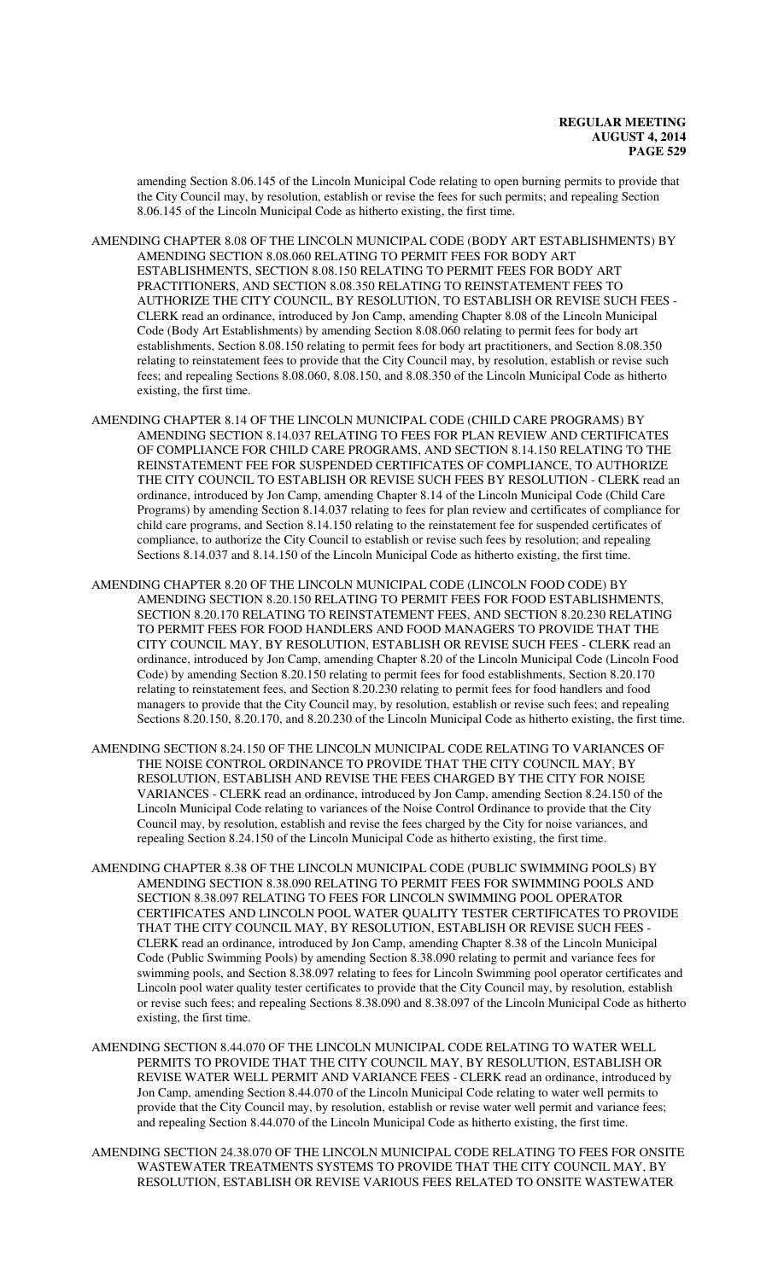amending Section 8.06.145 of the Lincoln Municipal Code relating to open burning permits to provide that the City Council may, by resolution, establish or revise the fees for such permits; and repealing Section 8.06.145 of the Lincoln Municipal Code as hitherto existing, the first time.

AMENDING CHAPTER 8.08 OF THE LINCOLN MUNICIPAL CODE (BODY ART ESTABLISHMENTS) BY AMENDING SECTION 8.08.060 RELATING TO PERMIT FEES FOR BODY ART ESTABLISHMENTS, SECTION 8.08.150 RELATING TO PERMIT FEES FOR BODY ART PRACTITIONERS, AND SECTION 8.08.350 RELATING TO REINSTATEMENT FEES TO AUTHORIZE THE CITY COUNCIL, BY RESOLUTION, TO ESTABLISH OR REVISE SUCH FEES - CLERK read an ordinance, introduced by Jon Camp, amending Chapter 8.08 of the Lincoln Municipal Code (Body Art Establishments) by amending Section 8.08.060 relating to permit fees for body art establishments, Section 8.08.150 relating to permit fees for body art practitioners, and Section 8.08.350 relating to reinstatement fees to provide that the City Council may, by resolution, establish or revise such fees; and repealing Sections 8.08.060, 8.08.150, and 8.08.350 of the Lincoln Municipal Code as hitherto existing, the first time.

AMENDING CHAPTER 8.14 OF THE LINCOLN MUNICIPAL CODE (CHILD CARE PROGRAMS) BY AMENDING SECTION 8.14.037 RELATING TO FEES FOR PLAN REVIEW AND CERTIFICATES OF COMPLIANCE FOR CHILD CARE PROGRAMS, AND SECTION 8.14.150 RELATING TO THE REINSTATEMENT FEE FOR SUSPENDED CERTIFICATES OF COMPLIANCE, TO AUTHORIZE THE CITY COUNCIL TO ESTABLISH OR REVISE SUCH FEES BY RESOLUTION - CLERK read an ordinance, introduced by Jon Camp, amending Chapter 8.14 of the Lincoln Municipal Code (Child Care Programs) by amending Section 8.14.037 relating to fees for plan review and certificates of compliance for child care programs, and Section 8.14.150 relating to the reinstatement fee for suspended certificates of compliance, to authorize the City Council to establish or revise such fees by resolution; and repealing Sections 8.14.037 and 8.14.150 of the Lincoln Municipal Code as hitherto existing, the first time.

AMENDING CHAPTER 8.20 OF THE LINCOLN MUNICIPAL CODE (LINCOLN FOOD CODE) BY AMENDING SECTION 8.20.150 RELATING TO PERMIT FEES FOR FOOD ESTABLISHMENTS, SECTION 8.20.170 RELATING TO REINSTATEMENT FEES, AND SECTION 8.20.230 RELATING TO PERMIT FEES FOR FOOD HANDLERS AND FOOD MANAGERS TO PROVIDE THAT THE CITY COUNCIL MAY, BY RESOLUTION, ESTABLISH OR REVISE SUCH FEES - CLERK read an ordinance, introduced by Jon Camp, amending Chapter 8.20 of the Lincoln Municipal Code (Lincoln Food Code) by amending Section 8.20.150 relating to permit fees for food establishments, Section 8.20.170 relating to reinstatement fees, and Section 8.20.230 relating to permit fees for food handlers and food managers to provide that the City Council may, by resolution, establish or revise such fees; and repealing Sections 8.20.150, 8.20.170, and 8.20.230 of the Lincoln Municipal Code as hitherto existing, the first time.

- AMENDING SECTION 8.24.150 OF THE LINCOLN MUNICIPAL CODE RELATING TO VARIANCES OF THE NOISE CONTROL ORDINANCE TO PROVIDE THAT THE CITY COUNCIL MAY, BY RESOLUTION, ESTABLISH AND REVISE THE FEES CHARGED BY THE CITY FOR NOISE VARIANCES - CLERK read an ordinance, introduced by Jon Camp, amending Section 8.24.150 of the Lincoln Municipal Code relating to variances of the Noise Control Ordinance to provide that the City Council may, by resolution, establish and revise the fees charged by the City for noise variances, and repealing Section 8.24.150 of the Lincoln Municipal Code as hitherto existing, the first time.
- AMENDING CHAPTER 8.38 OF THE LINCOLN MUNICIPAL CODE (PUBLIC SWIMMING POOLS) BY AMENDING SECTION 8.38.090 RELATING TO PERMIT FEES FOR SWIMMING POOLS AND SECTION 8.38.097 RELATING TO FEES FOR LINCOLN SWIMMING POOL OPERATOR CERTIFICATES AND LINCOLN POOL WATER QUALITY TESTER CERTIFICATES TO PROVIDE THAT THE CITY COUNCIL MAY, BY RESOLUTION, ESTABLISH OR REVISE SUCH FEES - CLERK read an ordinance, introduced by Jon Camp, amending Chapter 8.38 of the Lincoln Municipal Code (Public Swimming Pools) by amending Section 8.38.090 relating to permit and variance fees for swimming pools, and Section 8.38.097 relating to fees for Lincoln Swimming pool operator certificates and Lincoln pool water quality tester certificates to provide that the City Council may, by resolution, establish or revise such fees; and repealing Sections 8.38.090 and 8.38.097 of the Lincoln Municipal Code as hitherto existing, the first time.
- AMENDING SECTION 8.44.070 OF THE LINCOLN MUNICIPAL CODE RELATING TO WATER WELL PERMITS TO PROVIDE THAT THE CITY COUNCIL MAY, BY RESOLUTION, ESTABLISH OR REVISE WATER WELL PERMIT AND VARIANCE FEES - CLERK read an ordinance, introduced by Jon Camp, amending Section 8.44.070 of the Lincoln Municipal Code relating to water well permits to provide that the City Council may, by resolution, establish or revise water well permit and variance fees; and repealing Section 8.44.070 of the Lincoln Municipal Code as hitherto existing, the first time.
- AMENDING SECTION 24.38.070 OF THE LINCOLN MUNICIPAL CODE RELATING TO FEES FOR ONSITE WASTEWATER TREATMENTS SYSTEMS TO PROVIDE THAT THE CITY COUNCIL MAY, BY RESOLUTION, ESTABLISH OR REVISE VARIOUS FEES RELATED TO ONSITE WASTEWATER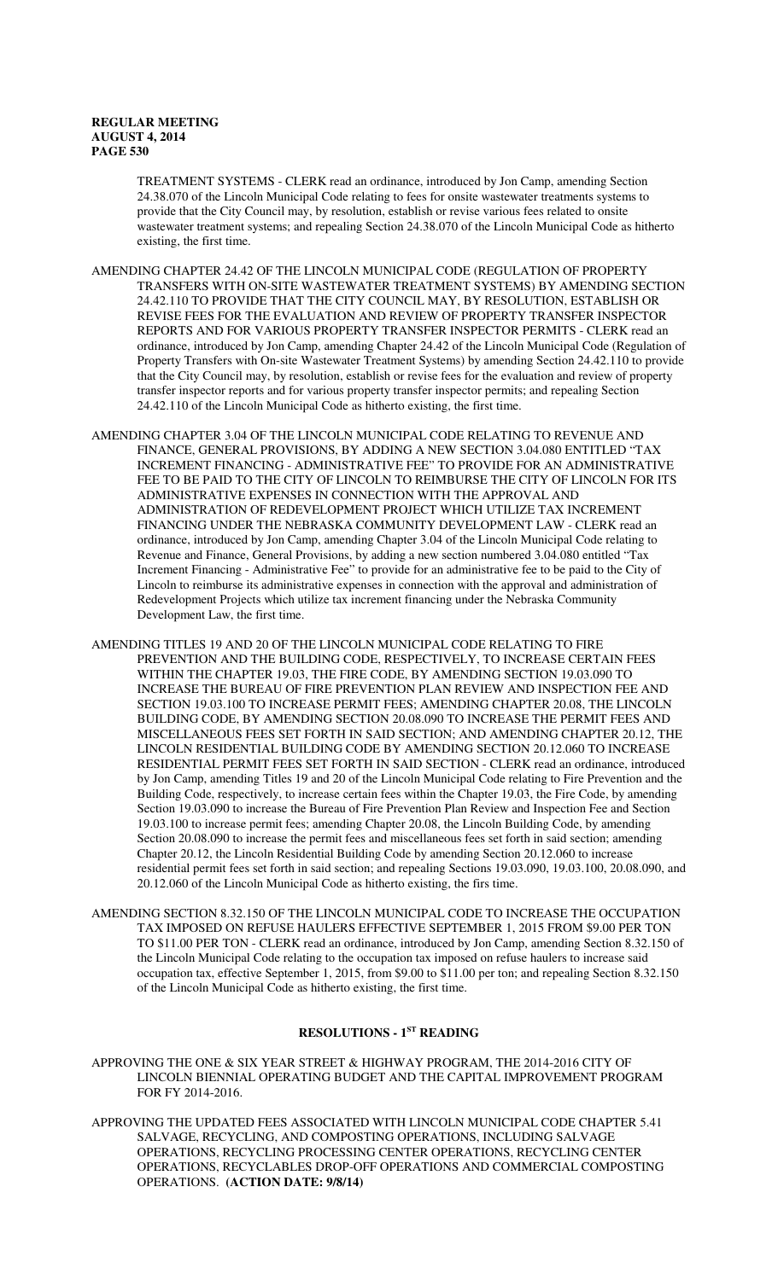TREATMENT SYSTEMS - CLERK read an ordinance, introduced by Jon Camp, amending Section 24.38.070 of the Lincoln Municipal Code relating to fees for onsite wastewater treatments systems to provide that the City Council may, by resolution, establish or revise various fees related to onsite wastewater treatment systems; and repealing Section 24.38.070 of the Lincoln Municipal Code as hitherto existing, the first time.

AMENDING CHAPTER 24.42 OF THE LINCOLN MUNICIPAL CODE (REGULATION OF PROPERTY TRANSFERS WITH ON-SITE WASTEWATER TREATMENT SYSTEMS) BY AMENDING SECTION 24.42.110 TO PROVIDE THAT THE CITY COUNCIL MAY, BY RESOLUTION, ESTABLISH OR REVISE FEES FOR THE EVALUATION AND REVIEW OF PROPERTY TRANSFER INSPECTOR REPORTS AND FOR VARIOUS PROPERTY TRANSFER INSPECTOR PERMITS - CLERK read an ordinance, introduced by Jon Camp, amending Chapter 24.42 of the Lincoln Municipal Code (Regulation of Property Transfers with On-site Wastewater Treatment Systems) by amending Section 24.42.110 to provide that the City Council may, by resolution, establish or revise fees for the evaluation and review of property transfer inspector reports and for various property transfer inspector permits; and repealing Section 24.42.110 of the Lincoln Municipal Code as hitherto existing, the first time.

- AMENDING CHAPTER 3.04 OF THE LINCOLN MUNICIPAL CODE RELATING TO REVENUE AND FINANCE, GENERAL PROVISIONS, BY ADDING A NEW SECTION 3.04.080 ENTITLED "TAX INCREMENT FINANCING - ADMINISTRATIVE FEE" TO PROVIDE FOR AN ADMINISTRATIVE FEE TO BE PAID TO THE CITY OF LINCOLN TO REIMBURSE THE CITY OF LINCOLN FOR ITS ADMINISTRATIVE EXPENSES IN CONNECTION WITH THE APPROVAL AND ADMINISTRATION OF REDEVELOPMENT PROJECT WHICH UTILIZE TAX INCREMENT FINANCING UNDER THE NEBRASKA COMMUNITY DEVELOPMENT LAW - CLERK read an ordinance, introduced by Jon Camp, amending Chapter 3.04 of the Lincoln Municipal Code relating to Revenue and Finance, General Provisions, by adding a new section numbered 3.04.080 entitled "Tax Increment Financing - Administrative Fee" to provide for an administrative fee to be paid to the City of Lincoln to reimburse its administrative expenses in connection with the approval and administration of Redevelopment Projects which utilize tax increment financing under the Nebraska Community Development Law, the first time.
- AMENDING TITLES 19 AND 20 OF THE LINCOLN MUNICIPAL CODE RELATING TO FIRE PREVENTION AND THE BUILDING CODE, RESPECTIVELY, TO INCREASE CERTAIN FEES WITHIN THE CHAPTER 19.03, THE FIRE CODE, BY AMENDING SECTION 19.03.090 TO INCREASE THE BUREAU OF FIRE PREVENTION PLAN REVIEW AND INSPECTION FEE AND SECTION 19.03.100 TO INCREASE PERMIT FEES; AMENDING CHAPTER 20.08, THE LINCOLN BUILDING CODE, BY AMENDING SECTION 20.08.090 TO INCREASE THE PERMIT FEES AND MISCELLANEOUS FEES SET FORTH IN SAID SECTION; AND AMENDING CHAPTER 20.12, THE LINCOLN RESIDENTIAL BUILDING CODE BY AMENDING SECTION 20.12.060 TO INCREASE RESIDENTIAL PERMIT FEES SET FORTH IN SAID SECTION - CLERK read an ordinance, introduced by Jon Camp, amending Titles 19 and 20 of the Lincoln Municipal Code relating to Fire Prevention and the Building Code, respectively, to increase certain fees within the Chapter 19.03, the Fire Code, by amending Section 19.03.090 to increase the Bureau of Fire Prevention Plan Review and Inspection Fee and Section 19.03.100 to increase permit fees; amending Chapter 20.08, the Lincoln Building Code, by amending Section 20.08.090 to increase the permit fees and miscellaneous fees set forth in said section; amending Chapter 20.12, the Lincoln Residential Building Code by amending Section 20.12.060 to increase residential permit fees set forth in said section; and repealing Sections 19.03.090, 19.03.100, 20.08.090, and 20.12.060 of the Lincoln Municipal Code as hitherto existing, the firs time.
- AMENDING SECTION 8.32.150 OF THE LINCOLN MUNICIPAL CODE TO INCREASE THE OCCUPATION TAX IMPOSED ON REFUSE HAULERS EFFECTIVE SEPTEMBER 1, 2015 FROM \$9.00 PER TON TO \$11.00 PER TON - CLERK read an ordinance, introduced by Jon Camp, amending Section 8.32.150 of the Lincoln Municipal Code relating to the occupation tax imposed on refuse haulers to increase said occupation tax, effective September 1, 2015, from \$9.00 to \$11.00 per ton; and repealing Section 8.32.150 of the Lincoln Municipal Code as hitherto existing, the first time.

## **RESOLUTIONS - 1ST READING**

- APPROVING THE ONE & SIX YEAR STREET & HIGHWAY PROGRAM, THE 2014-2016 CITY OF LINCOLN BIENNIAL OPERATING BUDGET AND THE CAPITAL IMPROVEMENT PROGRAM FOR FY 2014-2016.
- APPROVING THE UPDATED FEES ASSOCIATED WITH LINCOLN MUNICIPAL CODE CHAPTER 5.41 SALVAGE, RECYCLING, AND COMPOSTING OPERATIONS, INCLUDING SALVAGE OPERATIONS, RECYCLING PROCESSING CENTER OPERATIONS, RECYCLING CENTER OPERATIONS, RECYCLABLES DROP-OFF OPERATIONS AND COMMERCIAL COMPOSTING OPERATIONS. **(ACTION DATE: 9/8/14)**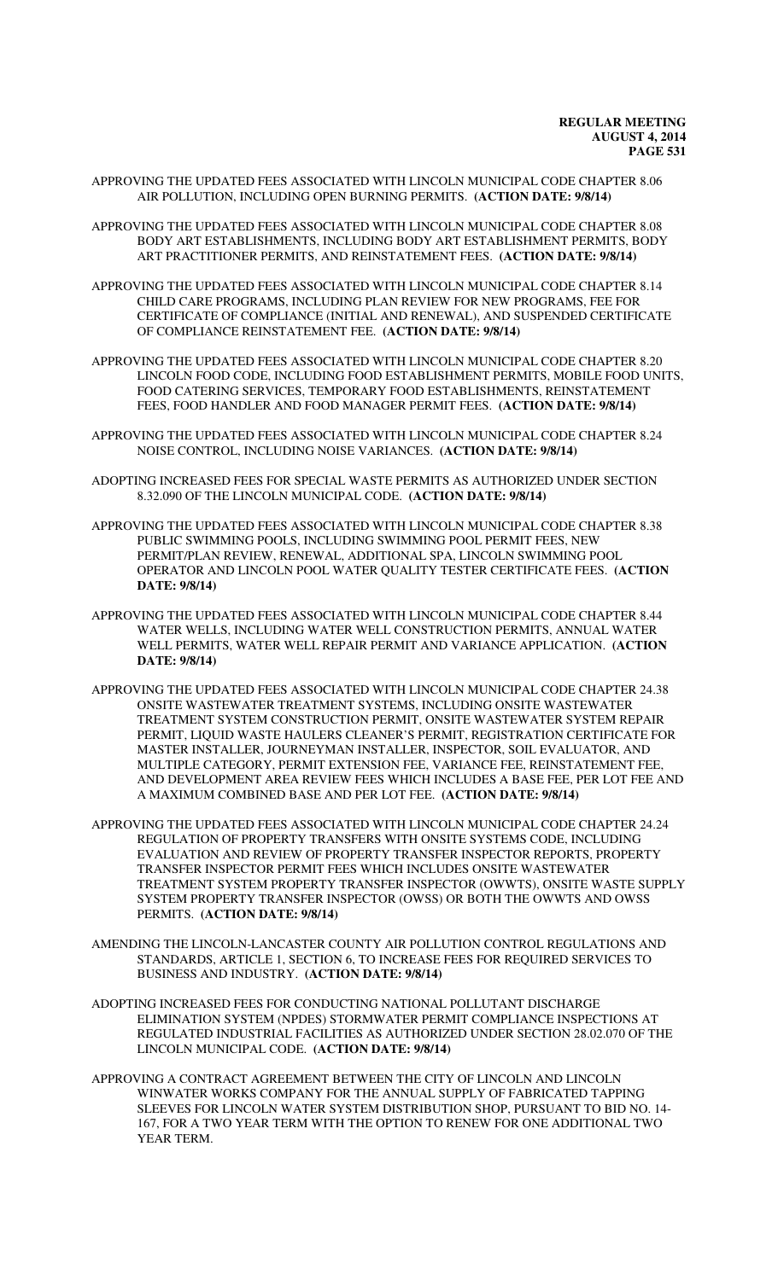- APPROVING THE UPDATED FEES ASSOCIATED WITH LINCOLN MUNICIPAL CODE CHAPTER 8.06 AIR POLLUTION, INCLUDING OPEN BURNING PERMITS. **(ACTION DATE: 9/8/14)**
- APPROVING THE UPDATED FEES ASSOCIATED WITH LINCOLN MUNICIPAL CODE CHAPTER 8.08 BODY ART ESTABLISHMENTS, INCLUDING BODY ART ESTABLISHMENT PERMITS, BODY ART PRACTITIONER PERMITS, AND REINSTATEMENT FEES. **(ACTION DATE: 9/8/14)**
- APPROVING THE UPDATED FEES ASSOCIATED WITH LINCOLN MUNICIPAL CODE CHAPTER 8.14 CHILD CARE PROGRAMS, INCLUDING PLAN REVIEW FOR NEW PROGRAMS, FEE FOR CERTIFICATE OF COMPLIANCE (INITIAL AND RENEWAL), AND SUSPENDED CERTIFICATE OF COMPLIANCE REINSTATEMENT FEE. **(ACTION DATE: 9/8/14)**
- APPROVING THE UPDATED FEES ASSOCIATED WITH LINCOLN MUNICIPAL CODE CHAPTER 8.20 LINCOLN FOOD CODE, INCLUDING FOOD ESTABLISHMENT PERMITS, MOBILE FOOD UNITS, FOOD CATERING SERVICES, TEMPORARY FOOD ESTABLISHMENTS, REINSTATEMENT FEES, FOOD HANDLER AND FOOD MANAGER PERMIT FEES. **(ACTION DATE: 9/8/14)**
- APPROVING THE UPDATED FEES ASSOCIATED WITH LINCOLN MUNICIPAL CODE CHAPTER 8.24 NOISE CONTROL, INCLUDING NOISE VARIANCES. **(ACTION DATE: 9/8/14)**
- ADOPTING INCREASED FEES FOR SPECIAL WASTE PERMITS AS AUTHORIZED UNDER SECTION 8.32.090 OF THE LINCOLN MUNICIPAL CODE. **(ACTION DATE: 9/8/14)**
- APPROVING THE UPDATED FEES ASSOCIATED WITH LINCOLN MUNICIPAL CODE CHAPTER 8.38 PUBLIC SWIMMING POOLS, INCLUDING SWIMMING POOL PERMIT FEES, NEW PERMIT/PLAN REVIEW, RENEWAL, ADDITIONAL SPA, LINCOLN SWIMMING POOL OPERATOR AND LINCOLN POOL WATER QUALITY TESTER CERTIFICATE FEES. **(ACTION DATE: 9/8/14)**
- APPROVING THE UPDATED FEES ASSOCIATED WITH LINCOLN MUNICIPAL CODE CHAPTER 8.44 WATER WELLS, INCLUDING WATER WELL CONSTRUCTION PERMITS, ANNUAL WATER WELL PERMITS, WATER WELL REPAIR PERMIT AND VARIANCE APPLICATION. **(ACTION DATE: 9/8/14)**
- APPROVING THE UPDATED FEES ASSOCIATED WITH LINCOLN MUNICIPAL CODE CHAPTER 24.38 ONSITE WASTEWATER TREATMENT SYSTEMS, INCLUDING ONSITE WASTEWATER TREATMENT SYSTEM CONSTRUCTION PERMIT, ONSITE WASTEWATER SYSTEM REPAIR PERMIT, LIQUID WASTE HAULERS CLEANER'S PERMIT, REGISTRATION CERTIFICATE FOR MASTER INSTALLER, JOURNEYMAN INSTALLER, INSPECTOR, SOIL EVALUATOR, AND MULTIPLE CATEGORY, PERMIT EXTENSION FEE, VARIANCE FEE, REINSTATEMENT FEE, AND DEVELOPMENT AREA REVIEW FEES WHICH INCLUDES A BASE FEE, PER LOT FEE AND A MAXIMUM COMBINED BASE AND PER LOT FEE. **(ACTION DATE: 9/8/14)**
- APPROVING THE UPDATED FEES ASSOCIATED WITH LINCOLN MUNICIPAL CODE CHAPTER 24.24 REGULATION OF PROPERTY TRANSFERS WITH ONSITE SYSTEMS CODE, INCLUDING EVALUATION AND REVIEW OF PROPERTY TRANSFER INSPECTOR REPORTS, PROPERTY TRANSFER INSPECTOR PERMIT FEES WHICH INCLUDES ONSITE WASTEWATER TREATMENT SYSTEM PROPERTY TRANSFER INSPECTOR (OWWTS), ONSITE WASTE SUPPLY SYSTEM PROPERTY TRANSFER INSPECTOR (OWSS) OR BOTH THE OWWTS AND OWSS PERMITS. **(ACTION DATE: 9/8/14)**
- AMENDING THE LINCOLN-LANCASTER COUNTY AIR POLLUTION CONTROL REGULATIONS AND STANDARDS, ARTICLE 1, SECTION 6, TO INCREASE FEES FOR REQUIRED SERVICES TO BUSINESS AND INDUSTRY. **(ACTION DATE: 9/8/14)**
- ADOPTING INCREASED FEES FOR CONDUCTING NATIONAL POLLUTANT DISCHARGE ELIMINATION SYSTEM (NPDES) STORMWATER PERMIT COMPLIANCE INSPECTIONS AT REGULATED INDUSTRIAL FACILITIES AS AUTHORIZED UNDER SECTION 28.02.070 OF THE LINCOLN MUNICIPAL CODE. **(ACTION DATE: 9/8/14)**
- APPROVING A CONTRACT AGREEMENT BETWEEN THE CITY OF LINCOLN AND LINCOLN WINWATER WORKS COMPANY FOR THE ANNUAL SUPPLY OF FABRICATED TAPPING SLEEVES FOR LINCOLN WATER SYSTEM DISTRIBUTION SHOP, PURSUANT TO BID NO. 14- 167, FOR A TWO YEAR TERM WITH THE OPTION TO RENEW FOR ONE ADDITIONAL TWO YEAR TERM.